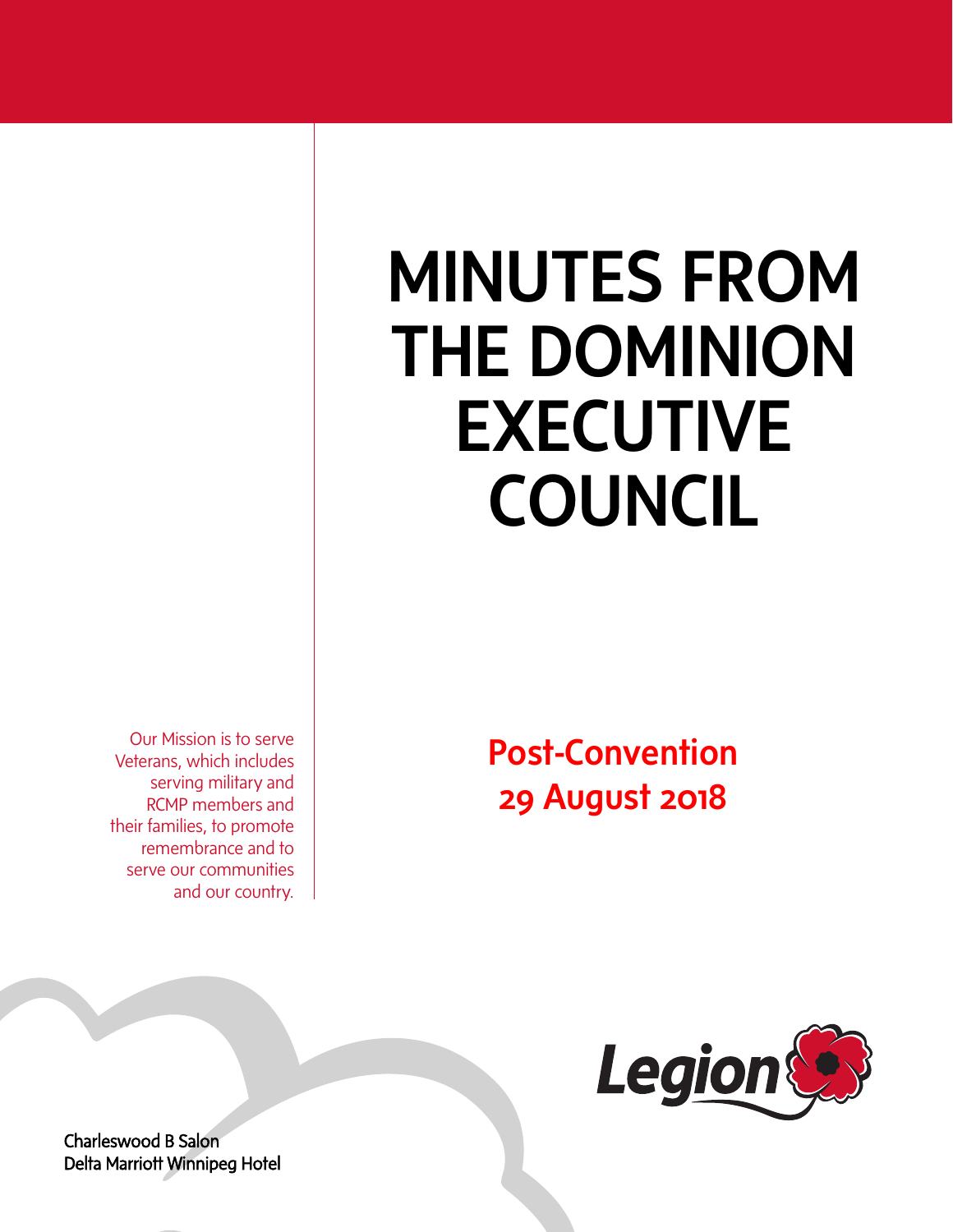# MINUTES FROM THE DOMINION EXECUTIVE COUNCIL

Our Mission is to serve Veterans, which includes serving military and RCMP members and their families, to promote remembrance and to serve our communities and our country.

Post-Convention 29 August 2018



Charleswood B Salon Delta Marriott Winnipeg Hotel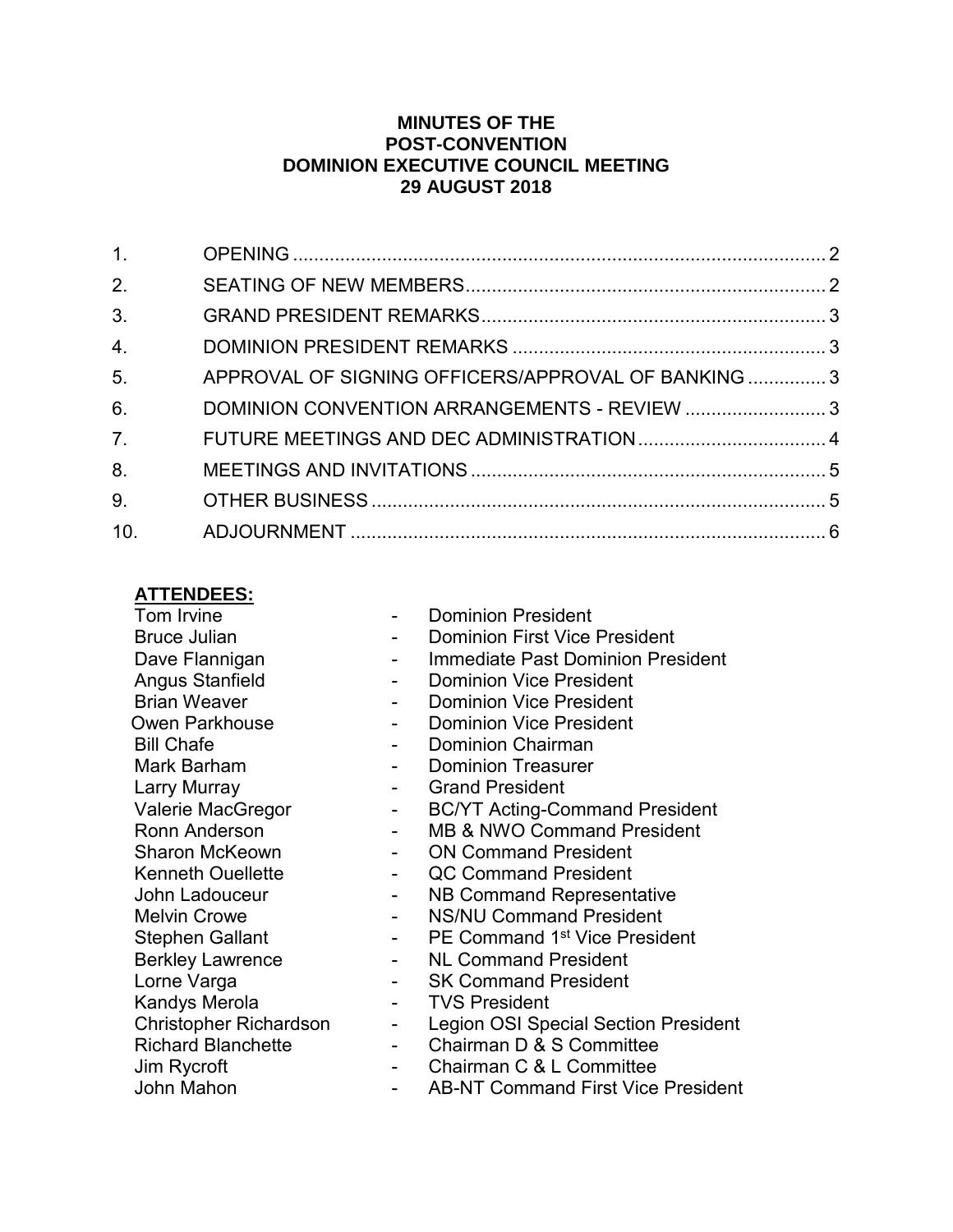#### **MINUTES OF THE POST-CONVENTION DOMINION EXECUTIVE COUNCIL MEETING 29 AUGUST 2018**

| 1.               |                                                     |  |
|------------------|-----------------------------------------------------|--|
| 2.               |                                                     |  |
| 3 <sub>1</sub>   |                                                     |  |
| 4.               |                                                     |  |
| 5.               | APPROVAL OF SIGNING OFFICERS/APPROVAL OF BANKING  3 |  |
| 6.               | DOMINION CONVENTION ARRANGEMENTS - REVIEW 3         |  |
| $\overline{7}$ . |                                                     |  |
| 8.               |                                                     |  |
| 9.               |                                                     |  |
| 10.              |                                                     |  |

#### **ATTENDEES:**

Tom Irvine **Communist Communist Communist Communist Communist Communist Communist Communist Communist Communist Communist Communist Communist Communist Communist Communist Communist Communist Communist Communist Communist** Angus Stanfield<br>Brian Weaver **- Angle Communist President**<br>Dominion Vice President Bill Chafe **- Dominion Chairman** Mark Barham **- Dominion Treasurer** Larry Murray **Canad President Canad President** Stephen Gallant - PE Command 1 Kandys Merola **- TVS President** Jim Rycroft<br>John Mahon **- Chairman C & L Committee**<br>AB-NT Command First Vice

- 
- Bruce Julian  **Dominion First Vice President**
- Dave Flannigan The Summediate Past Dominion President
	-
	- Dominion Vice President
- Owen Parkhouse  **Dominion Vice President** 
	-
	-
	-
- Valerie MacGregor The SCOVT Acting-Command President
- Ronn Anderson  **MB & NWO Command President**
- Sharon McKeown  **ON Command President**
- Kenneth Ouellette  **Acc Command President**
- John Ladouceur  **NB Command Representative**
- Melvin Crowe  **AS/NU Command President** 
	- PE Command 1<sup>st</sup> Vice President
- Berkley Lawrence  **AL Command President**
- Lorne Varga  **SK Command President** 
	-
- Christopher Richardson Legion OSI Special Section President
- Richard Blanchette Chairman D & S Committee
	-
	- AB-NT Command First Vice President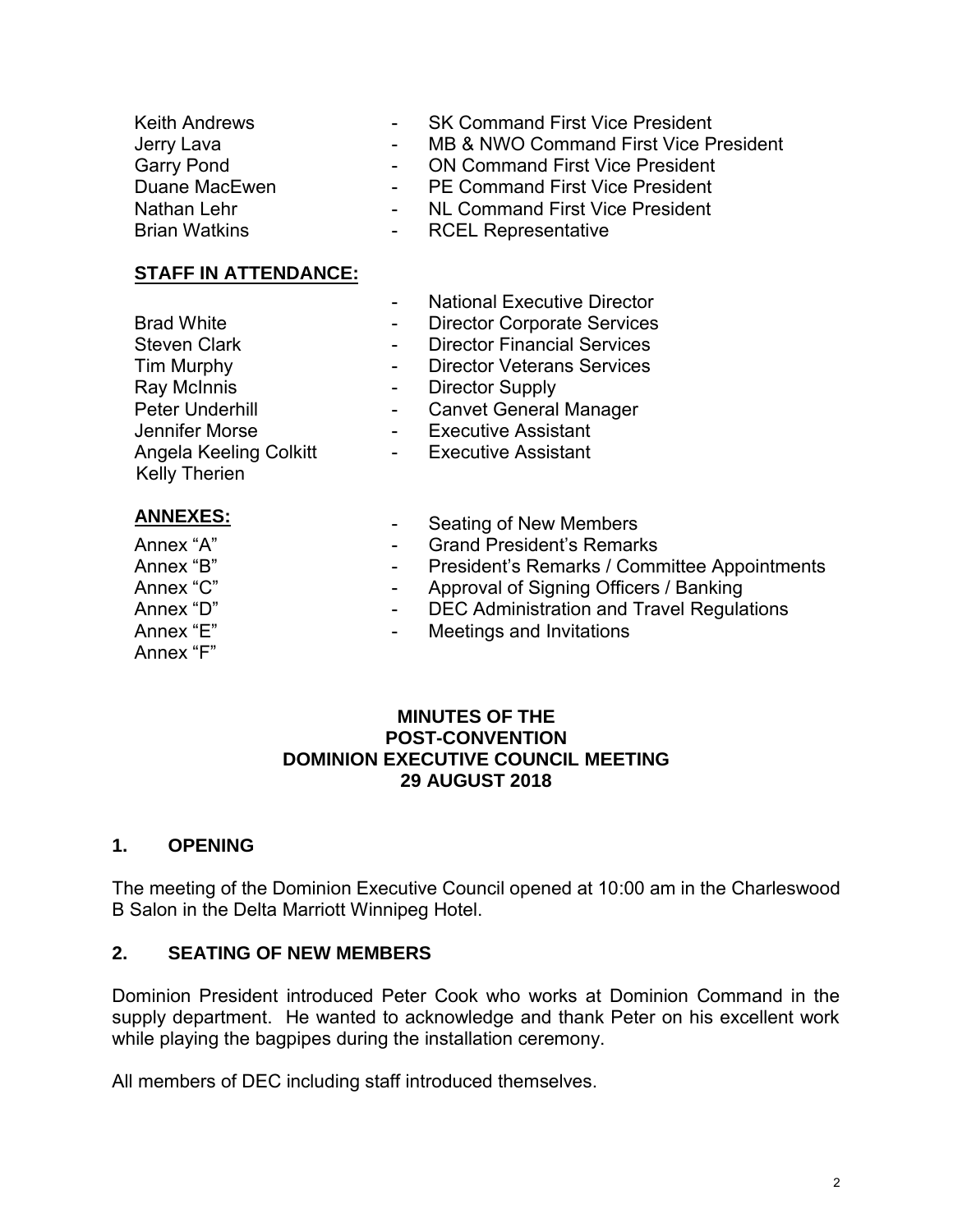Brian Watkins

- SK Command First Vice President
- MB & NWO Command First Vice President
- ON Command First Vice President
- PE Command First Vice President
- NL Command First Vice President
- RCEL Representative

#### **STAFF IN ATTENDANCE:**

Angela Keeling Colkitt

Brad White Steven Clark

Tim Murphy Ray McInnis Peter Underhill Jennifer Morse

- **National Executive Director**
- Director Corporate Services
- Director Financial Services
- Director Veterans Services
- Director Supply
- Canvet General Manager
- Executive Assistant
- Executive Assistant

**ANNEXES:**

Kelly Therien

- Annex "A" Annex "B"
- Annex "C" Annex "D" Annex "E" Annex "F"
- Seating of New Members
- Grand President's Remarks
- President's Remarks / Committee Appointments
- Approval of Signing Officers / Banking
- DEC Administration and Travel Regulations
- Meetings and Invitations

#### **MINUTES OF THE POST-CONVENTION DOMINION EXECUTIVE COUNCIL MEETING 29 AUGUST 2018**

#### <span id="page-2-0"></span>**1. OPENING**

The meeting of the Dominion Executive Council opened at 10:00 am in the Charleswood B Salon in the Delta Marriott Winnipeg Hotel.

#### <span id="page-2-1"></span>**2. SEATING OF NEW MEMBERS**

Dominion President introduced Peter Cook who works at Dominion Command in the supply department. He wanted to acknowledge and thank Peter on his excellent work while playing the bagpipes during the installation ceremony.

All members of DEC including staff introduced themselves.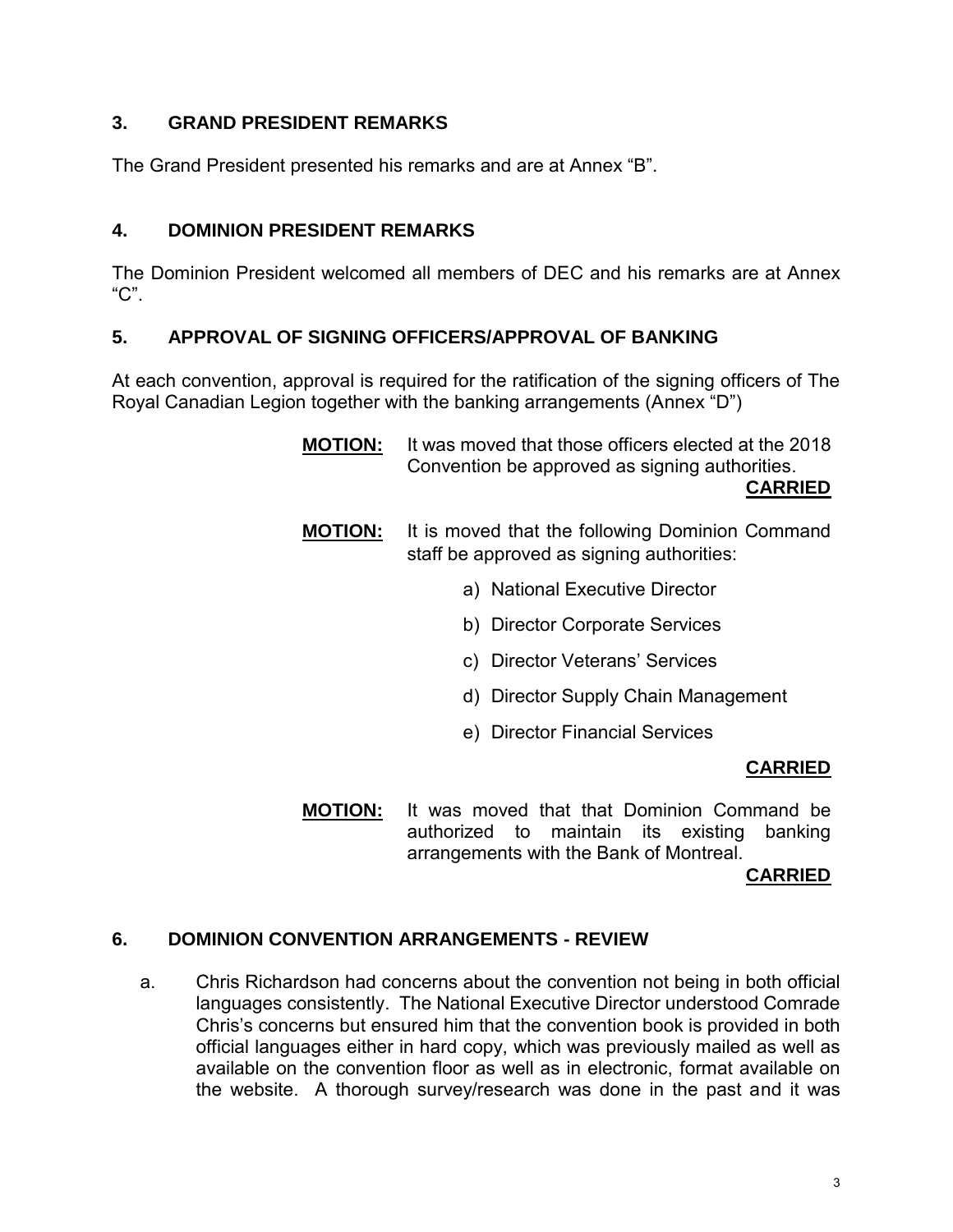#### <span id="page-3-0"></span>**3. GRAND PRESIDENT REMARKS**

The Grand President presented his remarks and are at Annex "B".

#### <span id="page-3-1"></span>**4. DOMINION PRESIDENT REMARKS**

The Dominion President welcomed all members of DEC and his remarks are at Annex "C".

#### <span id="page-3-2"></span>**5. APPROVAL OF SIGNING OFFICERS/APPROVAL OF BANKING**

At each convention, approval is required for the ratification of the signing officers of The Royal Canadian Legion together with the banking arrangements (Annex "D")

- **MOTION:** It was moved that those officers elected at the 2018 Convention be approved as signing authorities. **CARRIED**
- **MOTION:** It is moved that the following Dominion Command staff be approved as signing authorities:
	- a) National Executive Director
	- b) Director Corporate Services
	- c) Director Veterans' Services
	- d) Director Supply Chain Management
	- e) Director Financial Services

#### **CARRIED**

**MOTION:** It was moved that that Dominion Command be authorized to maintain its existing banking arrangements with the Bank of Montreal.

**CARRIED**

#### <span id="page-3-3"></span>**6. DOMINION CONVENTION ARRANGEMENTS - REVIEW**

a. Chris Richardson had concerns about the convention not being in both official languages consistently. The National Executive Director understood Comrade Chris's concerns but ensured him that the convention book is provided in both official languages either in hard copy, which was previously mailed as well as available on the convention floor as well as in electronic, format available on the website. A thorough survey/research was done in the past and it was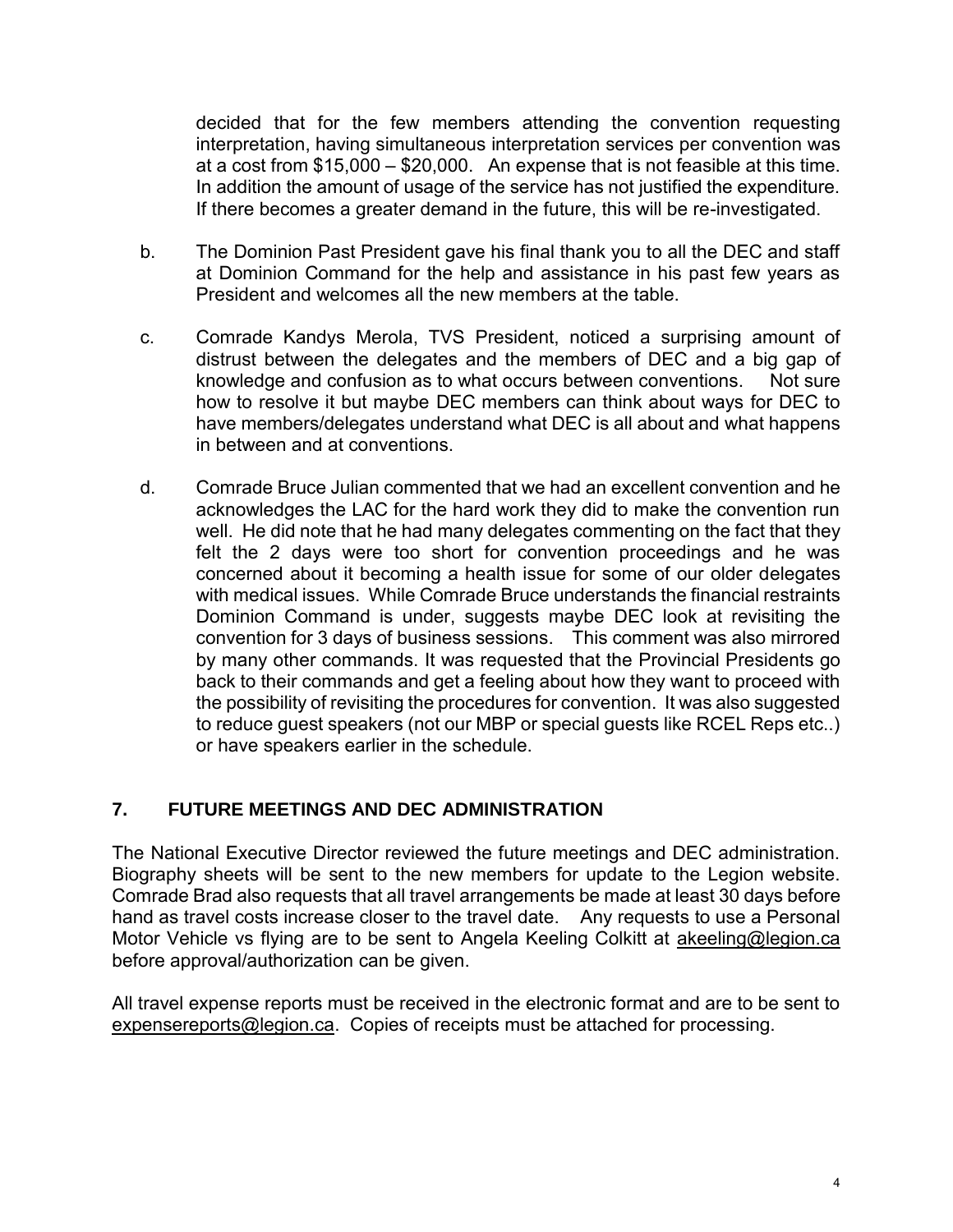decided that for the few members attending the convention requesting interpretation, having simultaneous interpretation services per convention was at a cost from \$15,000 – \$20,000. An expense that is not feasible at this time. In addition the amount of usage of the service has not justified the expenditure. If there becomes a greater demand in the future, this will be re-investigated.

- b. The Dominion Past President gave his final thank you to all the DEC and staff at Dominion Command for the help and assistance in his past few years as President and welcomes all the new members at the table.
- c. Comrade Kandys Merola, TVS President, noticed a surprising amount of distrust between the delegates and the members of DEC and a big gap of knowledge and confusion as to what occurs between conventions. Not sure how to resolve it but maybe DEC members can think about ways for DEC to have members/delegates understand what DEC is all about and what happens in between and at conventions.
- d. Comrade Bruce Julian commented that we had an excellent convention and he acknowledges the LAC for the hard work they did to make the convention run well. He did note that he had many delegates commenting on the fact that they felt the 2 days were too short for convention proceedings and he was concerned about it becoming a health issue for some of our older delegates with medical issues. While Comrade Bruce understands the financial restraints Dominion Command is under, suggests maybe DEC look at revisiting the convention for 3 days of business sessions. This comment was also mirrored by many other commands. It was requested that the Provincial Presidents go back to their commands and get a feeling about how they want to proceed with the possibility of revisiting the procedures for convention. It was also suggested to reduce guest speakers (not our MBP or special guests like RCEL Reps etc..) or have speakers earlier in the schedule.

#### <span id="page-4-0"></span>**7. FUTURE MEETINGS AND DEC ADMINISTRATION**

The National Executive Director reviewed the future meetings and DEC administration. Biography sheets will be sent to the new members for update to the Legion website. Comrade Brad also requests that all travel arrangements be made at least 30 days before hand as travel costs increase closer to the travel date. Any requests to use a Personal Motor Vehicle vs flying are to be sent to Angela Keeling Colkitt at [akeeling@legion.ca](mailto:akeeling@legion.ca) before approval/authorization can be given.

All travel expense reports must be received in the electronic format and are to be sent to [expensereports@legion.ca.](mailto:expensereports@legion.ca) Copies of receipts must be attached for processing.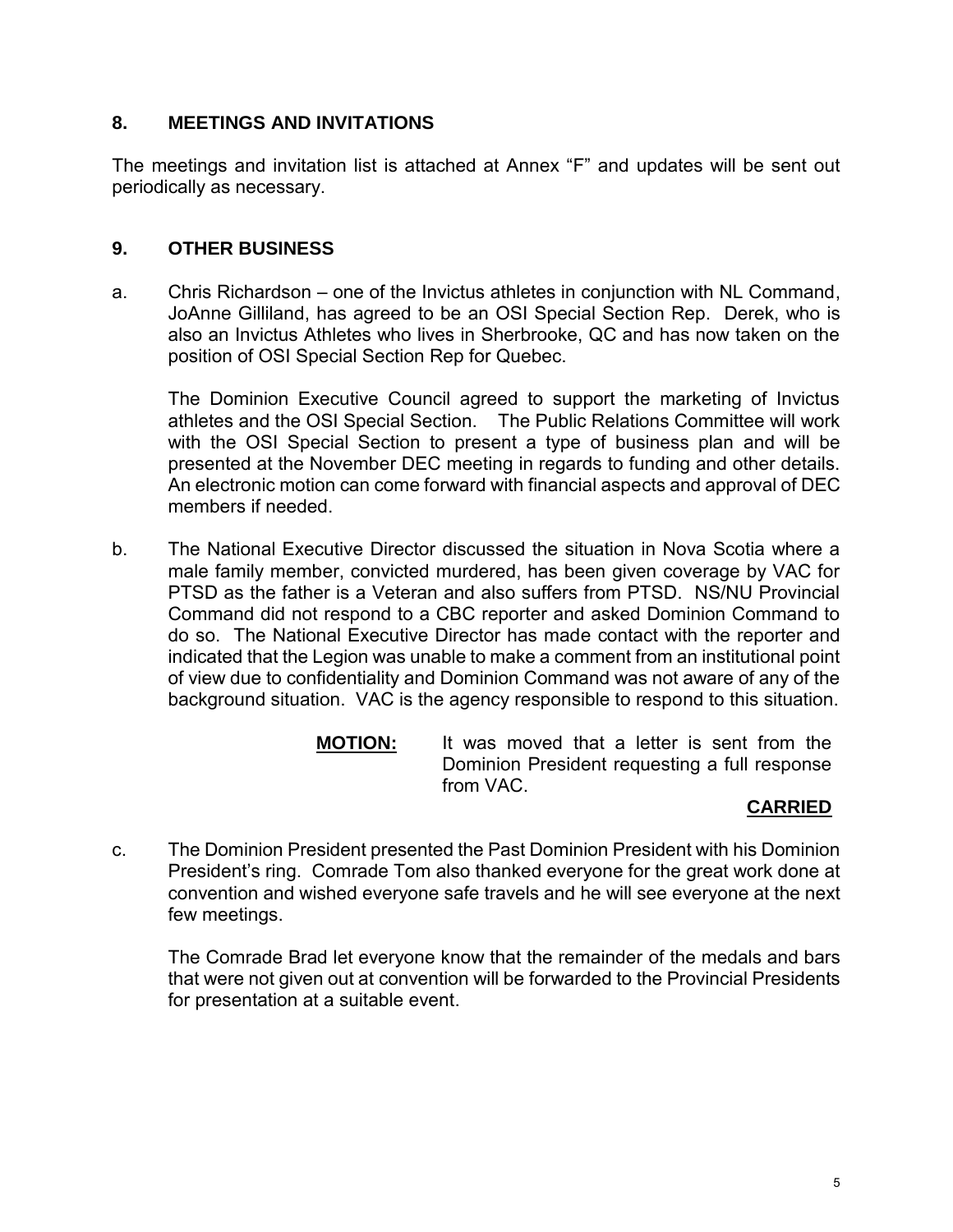#### <span id="page-5-0"></span>**8. MEETINGS AND INVITATIONS**

The meetings and invitation list is attached at Annex "F" and updates will be sent out periodically as necessary.

#### <span id="page-5-1"></span>**9. OTHER BUSINESS**

a. Chris Richardson – one of the Invictus athletes in conjunction with NL Command, JoAnne Gilliland, has agreed to be an OSI Special Section Rep. Derek, who is also an Invictus Athletes who lives in Sherbrooke, QC and has now taken on the position of OSI Special Section Rep for Quebec.

The Dominion Executive Council agreed to support the marketing of Invictus athletes and the OSI Special Section. The Public Relations Committee will work with the OSI Special Section to present a type of business plan and will be presented at the November DEC meeting in regards to funding and other details. An electronic motion can come forward with financial aspects and approval of DEC members if needed.

- b. The National Executive Director discussed the situation in Nova Scotia where a male family member, convicted murdered, has been given coverage by VAC for PTSD as the father is a Veteran and also suffers from PTSD. NS/NU Provincial Command did not respond to a CBC reporter and asked Dominion Command to do so. The National Executive Director has made contact with the reporter and indicated that the Legion was unable to make a comment from an institutional point of view due to confidentiality and Dominion Command was not aware of any of the background situation. VAC is the agency responsible to respond to this situation.
	- **MOTION:** It was moved that a letter is sent from the Dominion President requesting a full response from VAC.

#### **CARRIED**

c. The Dominion President presented the Past Dominion President with his Dominion President's ring. Comrade Tom also thanked everyone for the great work done at convention and wished everyone safe travels and he will see everyone at the next few meetings.

The Comrade Brad let everyone know that the remainder of the medals and bars that were not given out at convention will be forwarded to the Provincial Presidents for presentation at a suitable event.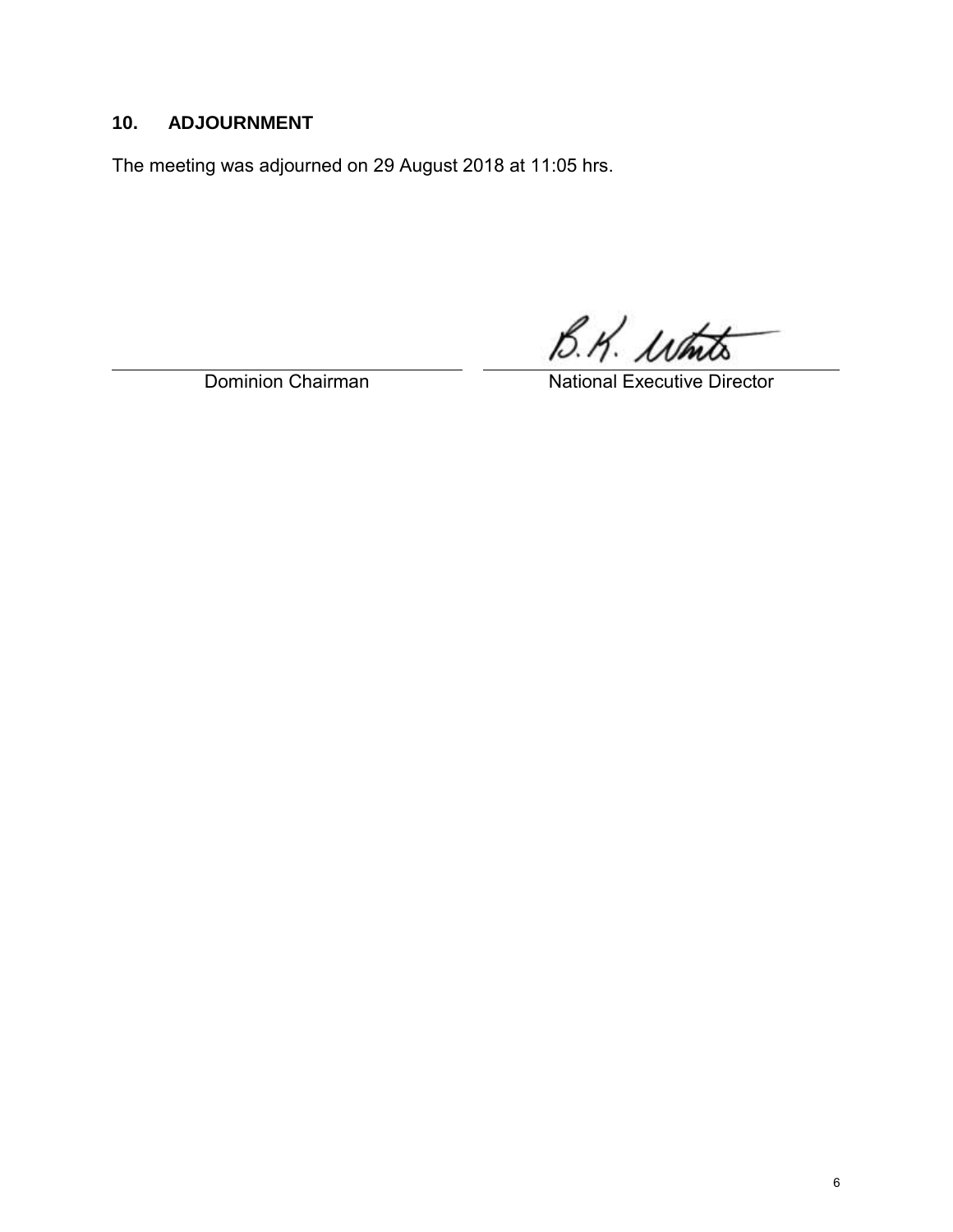## <span id="page-6-0"></span>**10. ADJOURNMENT**

The meeting was adjourned on 29 August 2018 at 11:05 hrs.

B.K. white

Dominion Chairman National Executive Director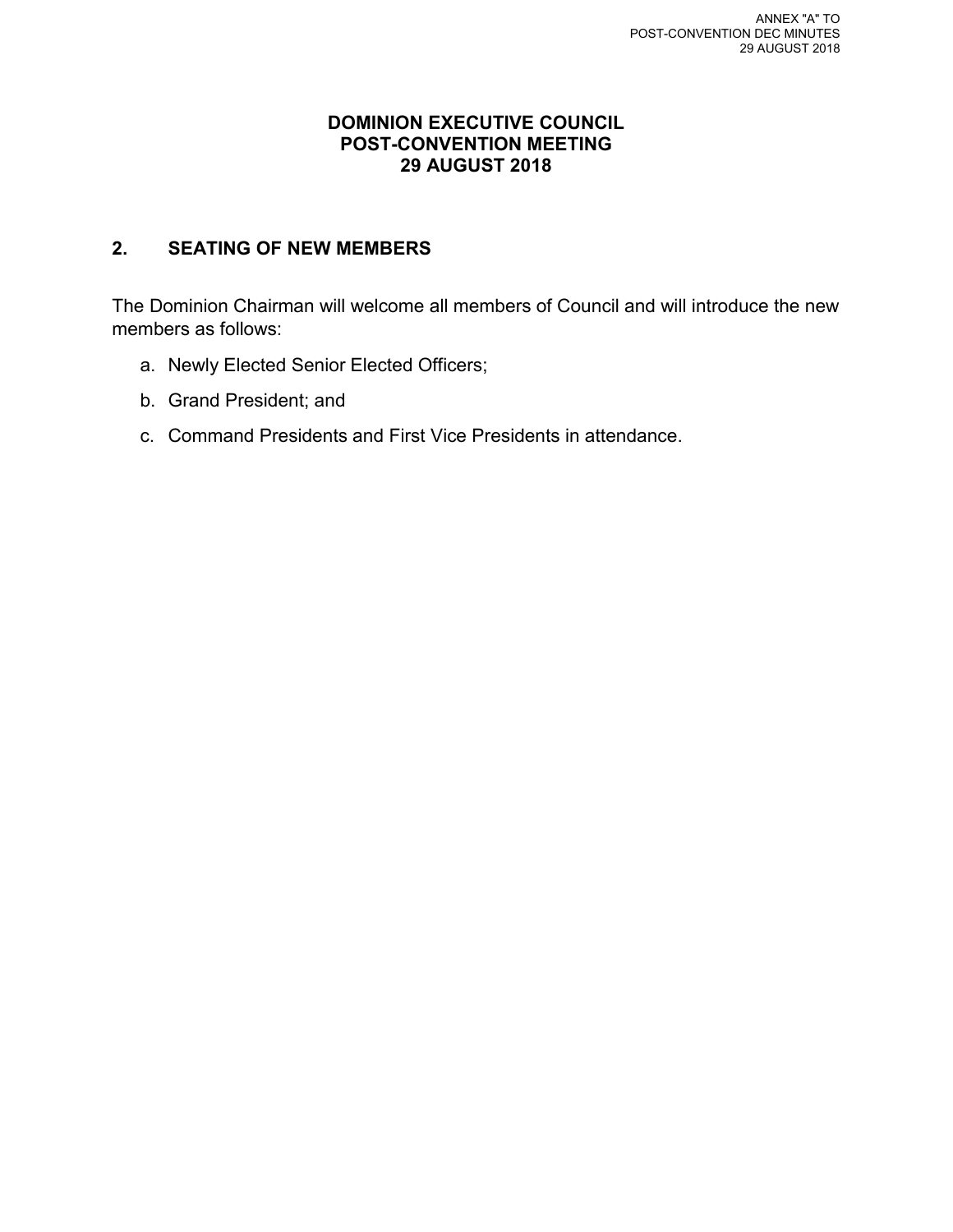#### **DOMINION EXECUTIVE COUNCIL POST-CONVENTION MEETING 29 AUGUST 2018**

#### **2. SEATING OF NEW MEMBERS**

The Dominion Chairman will welcome all members of Council and will introduce the new members as follows:

- a. Newly Elected Senior Elected Officers;
- b. Grand President; and
- c. Command Presidents and First Vice Presidents in attendance.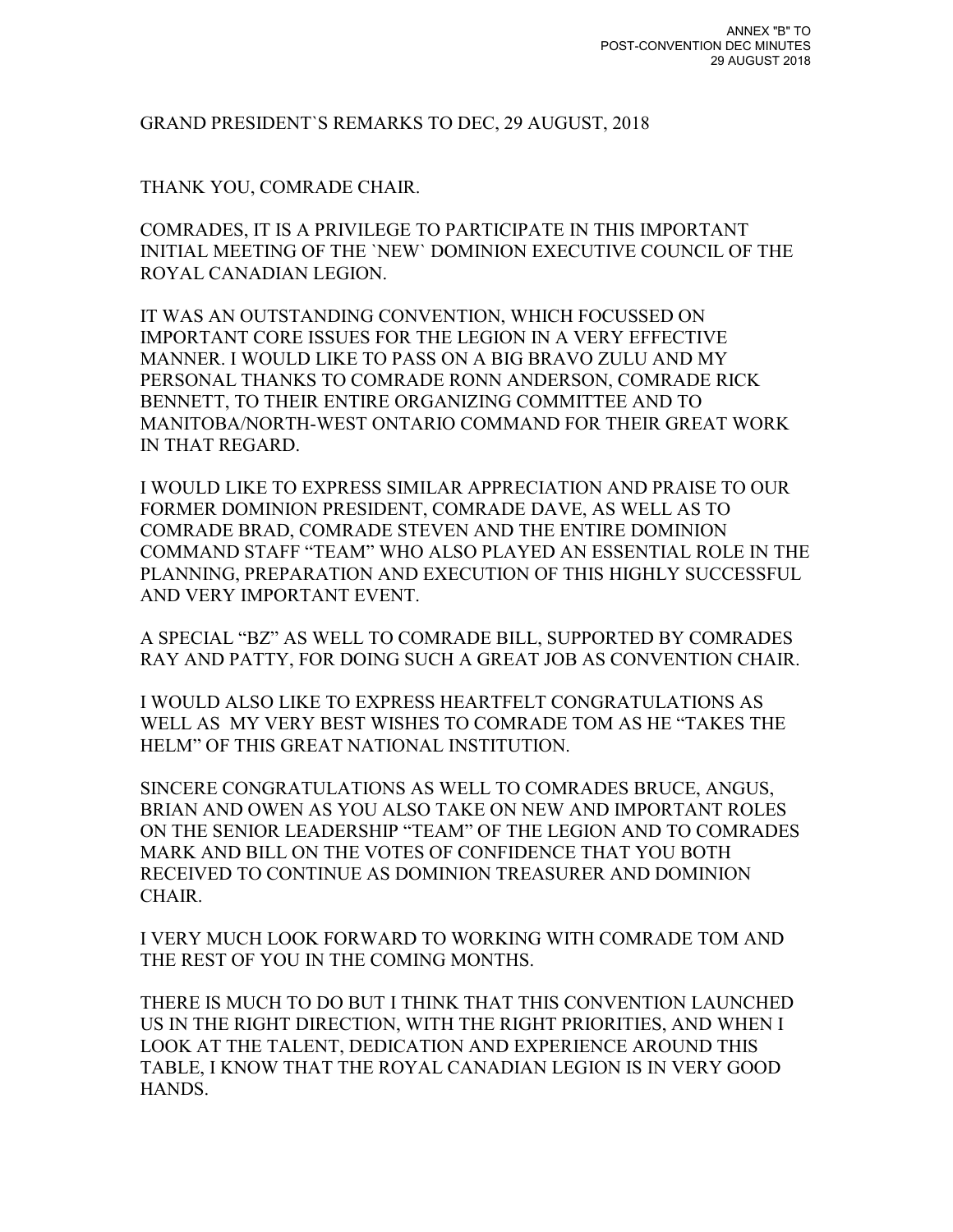#### GRAND PRESIDENT`S REMARKS TO DEC, 29 AUGUST, 2018

#### THANK YOU, COMRADE CHAIR.

COMRADES, IT IS A PRIVILEGE TO PARTICIPATE IN THIS IMPORTANT INITIAL MEETING OF THE `NEW` DOMINION EXECUTIVE COUNCIL OF THE ROYAL CANADIAN LEGION.

IT WAS AN OUTSTANDING CONVENTION, WHICH FOCUSSED ON IMPORTANT CORE ISSUES FOR THE LEGION IN A VERY EFFECTIVE MANNER. I WOULD LIKE TO PASS ON A BIG BRAVO ZULU AND MY PERSONAL THANKS TO COMRADE RONN ANDERSON, COMRADE RICK BENNETT, TO THEIR ENTIRE ORGANIZING COMMITTEE AND TO MANITOBA/NORTH-WEST ONTARIO COMMAND FOR THEIR GREAT WORK IN THAT REGARD.

I WOULD LIKE TO EXPRESS SIMILAR APPRECIATION AND PRAISE TO OUR FORMER DOMINION PRESIDENT, COMRADE DAVE, AS WELL AS TO COMRADE BRAD, COMRADE STEVEN AND THE ENTIRE DOMINION COMMAND STAFF "TEAM" WHO ALSO PLAYED AN ESSENTIAL ROLE IN THE PLANNING, PREPARATION AND EXECUTION OF THIS HIGHLY SUCCESSFUL AND VERY IMPORTANT EVENT.

A SPECIAL "BZ" AS WELL TO COMRADE BILL, SUPPORTED BY COMRADES RAY AND PATTY, FOR DOING SUCH A GREAT JOB AS CONVENTION CHAIR.

I WOULD ALSO LIKE TO EXPRESS HEARTFELT CONGRATULATIONS AS WELL AS MY VERY BEST WISHES TO COMRADE TOM AS HE "TAKES THE HELM" OF THIS GREAT NATIONAL INSTITUTION.

SINCERE CONGRATULATIONS AS WELL TO COMRADES BRUCE, ANGUS, BRIAN AND OWEN AS YOU ALSO TAKE ON NEW AND IMPORTANT ROLES ON THE SENIOR LEADERSHIP "TEAM" OF THE LEGION AND TO COMRADES MARK AND BILL ON THE VOTES OF CONFIDENCE THAT YOU BOTH RECEIVED TO CONTINUE AS DOMINION TREASURER AND DOMINION **CHAIR** 

I VERY MUCH LOOK FORWARD TO WORKING WITH COMRADE TOM AND THE REST OF YOU IN THE COMING MONTHS.

THERE IS MUCH TO DO BUT I THINK THAT THIS CONVENTION LAUNCHED US IN THE RIGHT DIRECTION, WITH THE RIGHT PRIORITIES, AND WHEN I LOOK AT THE TALENT, DEDICATION AND EXPERIENCE AROUND THIS TABLE, I KNOW THAT THE ROYAL CANADIAN LEGION IS IN VERY GOOD HANDS.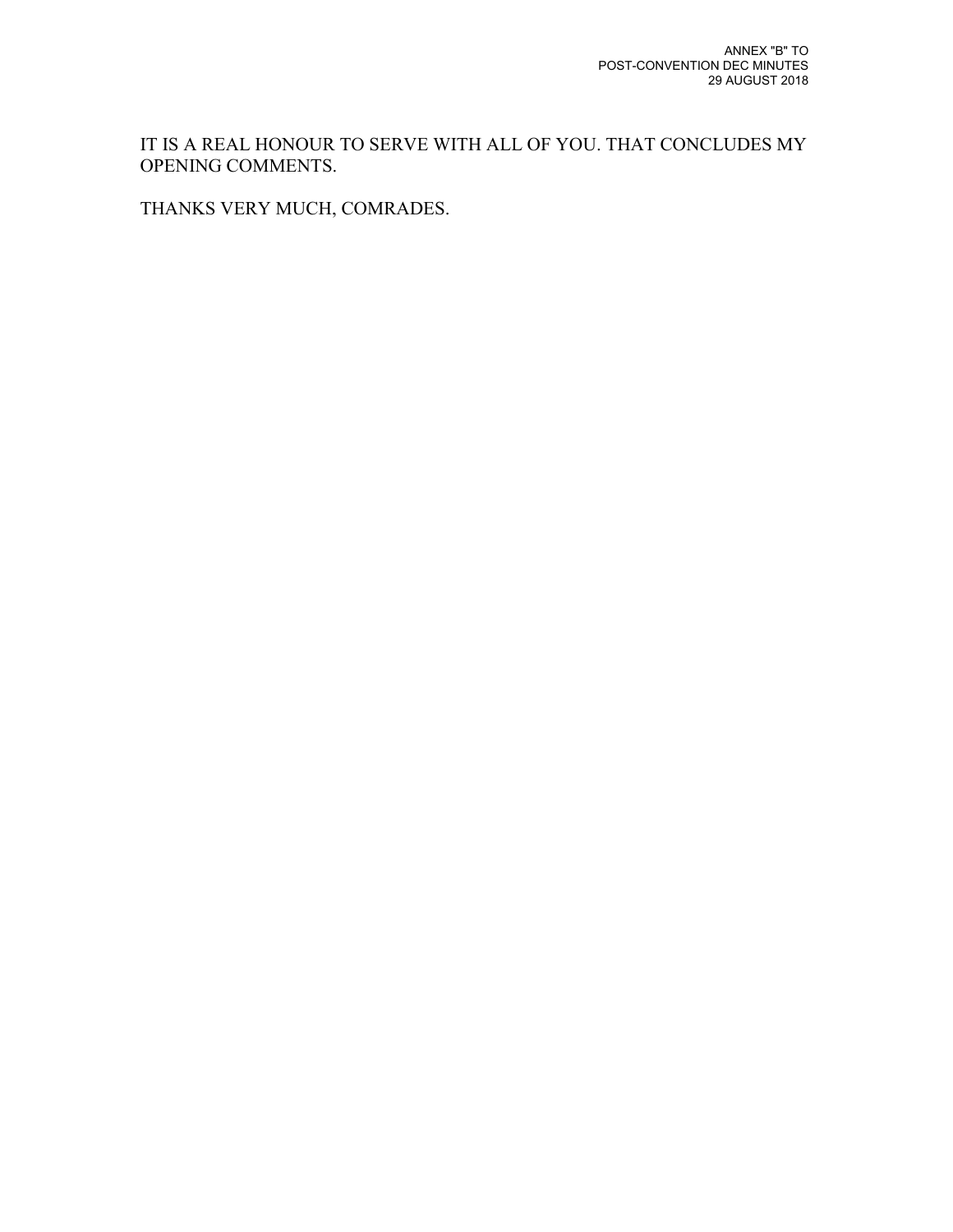IT IS A REAL HONOUR TO SERVE WITH ALL OF YOU. THAT CONCLUDES MY OPENING COMMENTS.

THANKS VERY MUCH, COMRADES.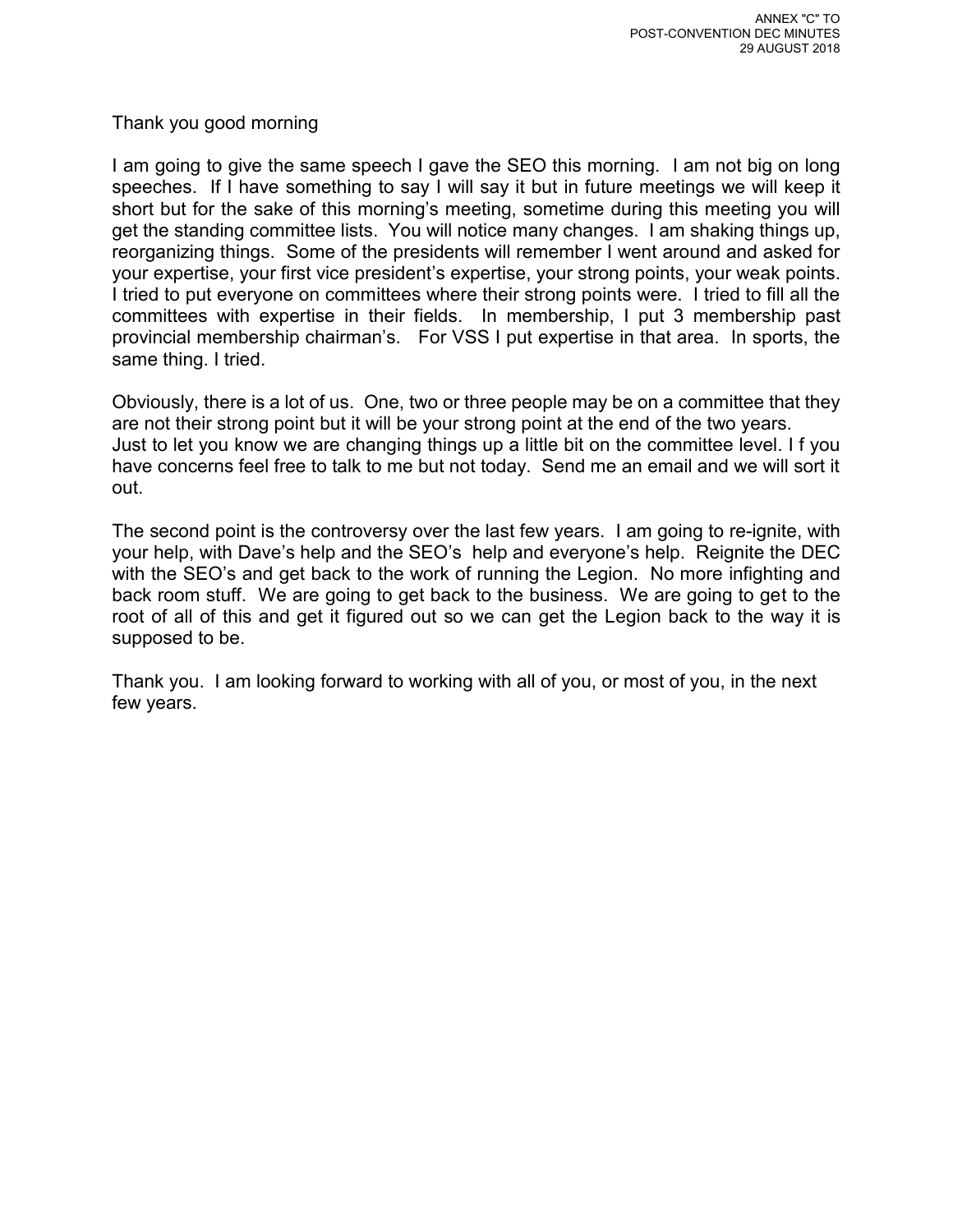Thank you good morning

I am going to give the same speech I gave the SEO this morning. I am not big on long speeches. If I have something to say I will say it but in future meetings we will keep it short but for the sake of this morning's meeting, sometime during this meeting you will get the standing committee lists. You will notice many changes. I am shaking things up, reorganizing things. Some of the presidents will remember I went around and asked for your expertise, your first vice president's expertise, your strong points, your weak points. I tried to put everyone on committees where their strong points were. I tried to fill all the committees with expertise in their fields. In membership, I put 3 membership past provincial membership chairman's. For VSS I put expertise in that area. In sports, the same thing. I tried.

Obviously, there is a lot of us. One, two or three people may be on a committee that they are not their strong point but it will be your strong point at the end of the two years. Just to let you know we are changing things up a little bit on the committee level. I f you have concerns feel free to talk to me but not today. Send me an email and we will sort it out.

The second point is the controversy over the last few years. I am going to re-ignite, with your help, with Dave's help and the SEO's help and everyone's help. Reignite the DEC with the SEO's and get back to the work of running the Legion. No more infighting and back room stuff. We are going to get back to the business. We are going to get to the root of all of this and get it figured out so we can get the Legion back to the way it is supposed to be.

Thank you. I am looking forward to working with all of you, or most of you, in the next few years.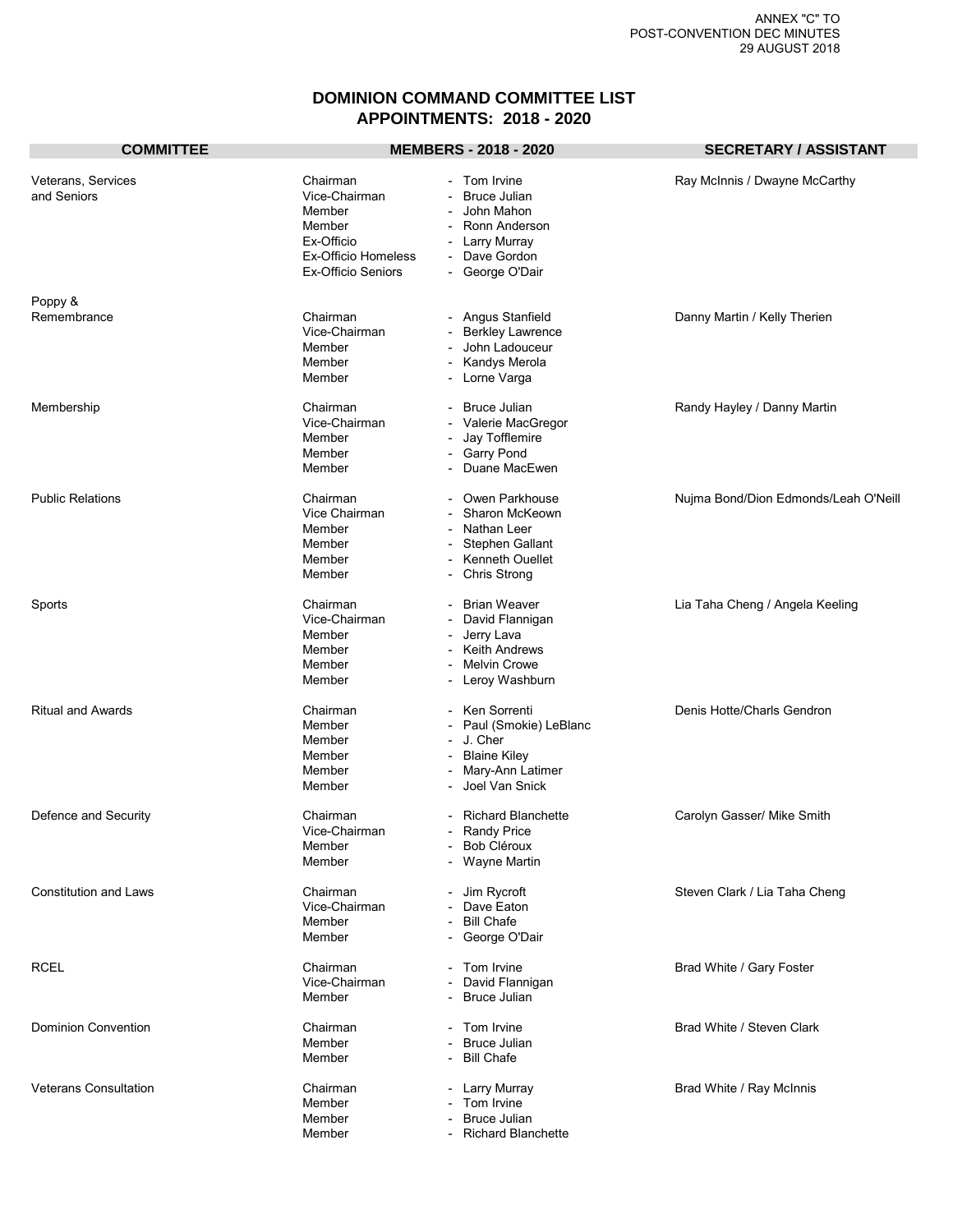#### **DOMINION COMMAND COMMITTEE LIST APPOINTMENTS: 2018 - 2020**

| <b>COMMITTEE</b>                  |                                                                                                                        | <b>MEMBERS - 2018 - 2020</b>                                                                                                                                                                      | <b>SECRETARY / ASSISTANT</b>         |
|-----------------------------------|------------------------------------------------------------------------------------------------------------------------|---------------------------------------------------------------------------------------------------------------------------------------------------------------------------------------------------|--------------------------------------|
| Veterans, Services<br>and Seniors | Chairman<br>Vice-Chairman<br>Member<br>Member<br>Ex-Officio<br><b>Ex-Officio Homeless</b><br><b>Ex-Officio Seniors</b> | Tom Irvine<br><b>Bruce Julian</b><br>John Mahon<br>Ronn Anderson<br>Larry Murray<br>$\overline{\phantom{a}}$<br>Dave Gordon<br>George O'Dair                                                      | Ray McInnis / Dwayne McCarthy        |
| Poppy &<br>Remembrance            | Chairman<br>Vice-Chairman<br>Member<br>Member<br>Member                                                                | - Angus Stanfield<br><b>Berkley Lawrence</b><br>John Ladouceur<br>Kandys Merola<br>$\overline{\phantom{a}}$<br>- Lorne Varga                                                                      | Danny Martin / Kelly Therien         |
| Membership                        | Chairman<br>Vice-Chairman<br>Member<br>Member<br>Member                                                                | <b>Bruce Julian</b><br>Valerie MacGregor<br>Jay Tofflemire<br><b>Garry Pond</b><br>$\overline{\phantom{a}}$<br>Duane MacEwen<br>$\overline{\phantom{a}}$                                          | Randy Hayley / Danny Martin          |
| <b>Public Relations</b>           | Chairman<br>Vice Chairman<br>Member<br>Member<br>Member<br>Member                                                      | Owen Parkhouse<br>Sharon McKeown<br>Nathan Leer<br>Stephen Gallant<br>Kenneth Ouellet<br>$\overline{\phantom{a}}$<br>Chris Strong                                                                 | Nujma Bond/Dion Edmonds/Leah O'Neill |
| Sports                            | Chairman<br>Vice-Chairman<br>Member<br>Member<br>Member<br>Member                                                      | <b>Brian Weaver</b><br>David Flannigan<br>Jerry Lava<br>$\overline{\phantom{a}}$<br><b>Keith Andrews</b><br><b>Melvin Crowe</b><br>Leroy Washburn<br>$\overline{\phantom{a}}$                     | Lia Taha Cheng / Angela Keeling      |
| <b>Ritual and Awards</b>          | Chairman<br>Member<br>Member<br>Member<br>Member<br>Member                                                             | Ken Sorrenti<br>Paul (Smokie) LeBlanc<br>$\overline{\phantom{a}}$<br>J. Cher<br><b>Blaine Kiley</b><br>$\overline{\phantom{a}}$<br>Mary-Ann Latimer<br>$\overline{\phantom{a}}$<br>Joel Van Snick | Denis Hotte/Charls Gendron           |
| Defence and Security              | Chairman<br>Vice-Chairman<br>Member<br>Member                                                                          | <b>Richard Blanchette</b><br>Randy Price<br>- Bob Cléroux<br>- Wayne Martin                                                                                                                       | Carolyn Gasser/ Mike Smith           |
| <b>Constitution and Laws</b>      | Chairman<br>Vice-Chairman<br>Member<br>Member                                                                          | - Jim Rycroft<br>Dave Eaton<br>$ \,$<br><b>Bill Chafe</b><br>- George O'Dair                                                                                                                      | Steven Clark / Lia Taha Cheng        |
| <b>RCEL</b>                       | Chairman<br>Vice-Chairman<br>Member                                                                                    | Tom Irvine<br>David Flannigan<br><b>Bruce Julian</b><br>$\overline{\phantom{a}}$                                                                                                                  | Brad White / Gary Foster             |
| Dominion Convention               | Chairman<br>Member<br>Member                                                                                           | Tom Irvine<br>Bruce Julian<br><b>Bill Chafe</b>                                                                                                                                                   | Brad White / Steven Clark            |
| <b>Veterans Consultation</b>      | Chairman<br>Member<br>Member<br>Member                                                                                 | - Larry Murray<br>Tom Irvine<br>$\overline{\phantom{a}}$<br><b>Bruce Julian</b><br>- Richard Blanchette                                                                                           | Brad White / Ray McInnis             |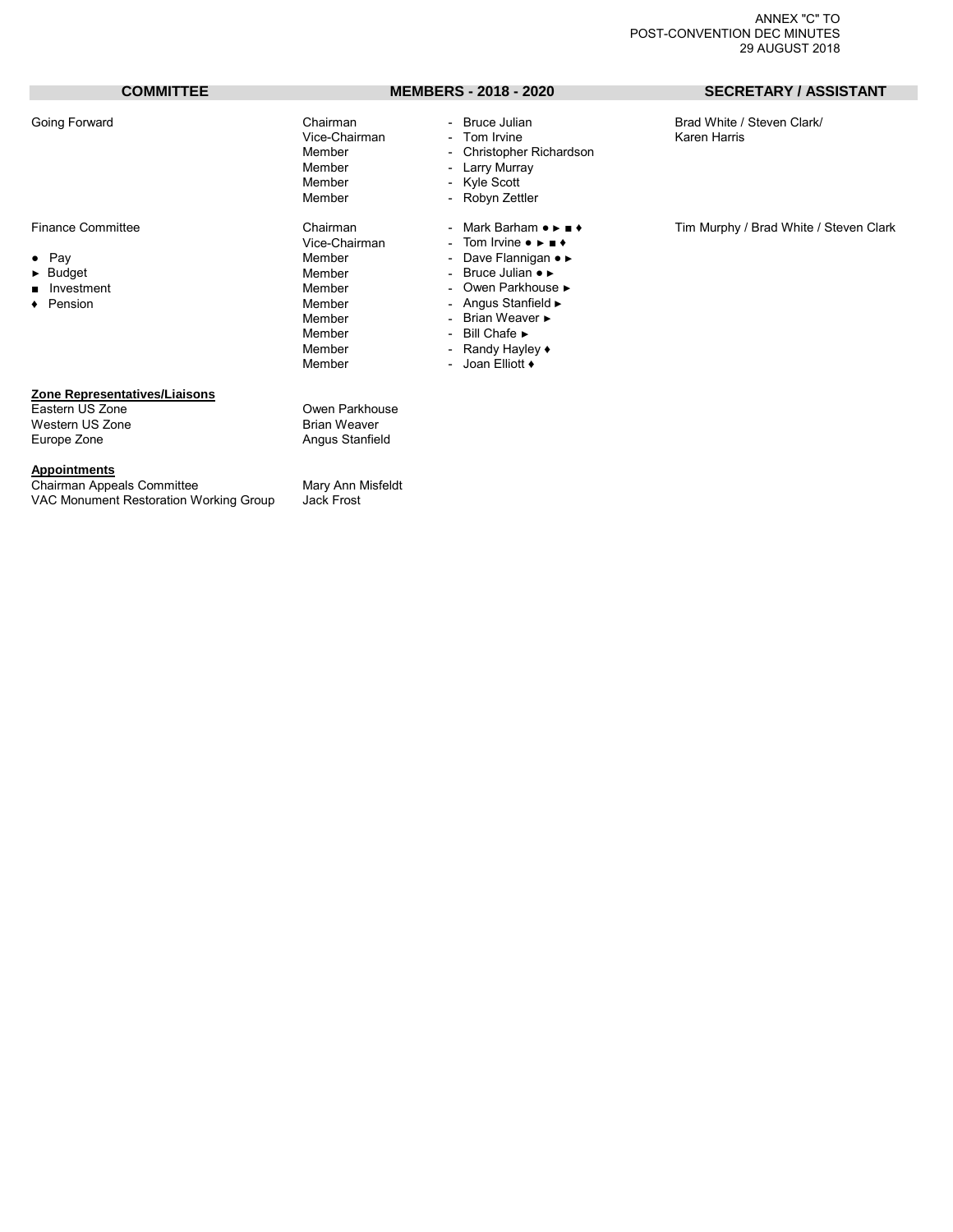- 
- 
- 
- 

#### Vice-Chairman<br>Member Member - Christopher Richardson<br>Member - Larry Murray Member - Larry Murray<br>
Member - Kyle Scott Member - Kyle Scott<br>Member - Robyn Zett Vice-Chairman - Tom Irvine • ► ■ ♦<br>Member - Dave Flannigan • • ● Pay Member - Dave Flannigan ● ► ► Budget Member - Bruce Julian ● ► ■ Investment Member - Owen Parkhouse ►<br>■ Pension + Owen Parkhouse → Owen Parkhouse → Pension Member - Angus Stanfield ►

Member - Brian Weaver ►<br>Member - Bill Chafe

- Member Bill Chafe ►<br>Member Randy Hayle
- 
- Randy Hayley  $\triangle$
- Member Joan Elliott ♦

- Robyn Zettler

#### **COMMITTEE MEMBERS - 2018 - 2020 SECRETARY / ASSISTANT**

Going Forward **Chairman** - Bruce Julian - Bruce Julian Brad White / Steven Clark/<br>Vice-Chairman - Tom Irvine - Tom Collaren Harris

Finance Committee Thairman - Mark Barham  $\bullet \bullet \bullet \bullet \bullet$  Tim Murphy / Brad White / Steven Clark<br>Vice-Chairman - Tom Irvine  $\bullet \bullet \bullet \bullet$ 

#### **Zone Representatives/Liaisons**

Eastern US Zone **Castern US Zone**<br>
Western US Zone **Owen Parkhouse**<br>
Brian Weaver Western US Zone<br>Europe Zone

**Appointments**

Chairman Appeals Committee Mary Ann Misfeldt<br>VAC Monument Restoration Working Group Jack Frost VAC Monument Restoration Working Group

Angus Stanfield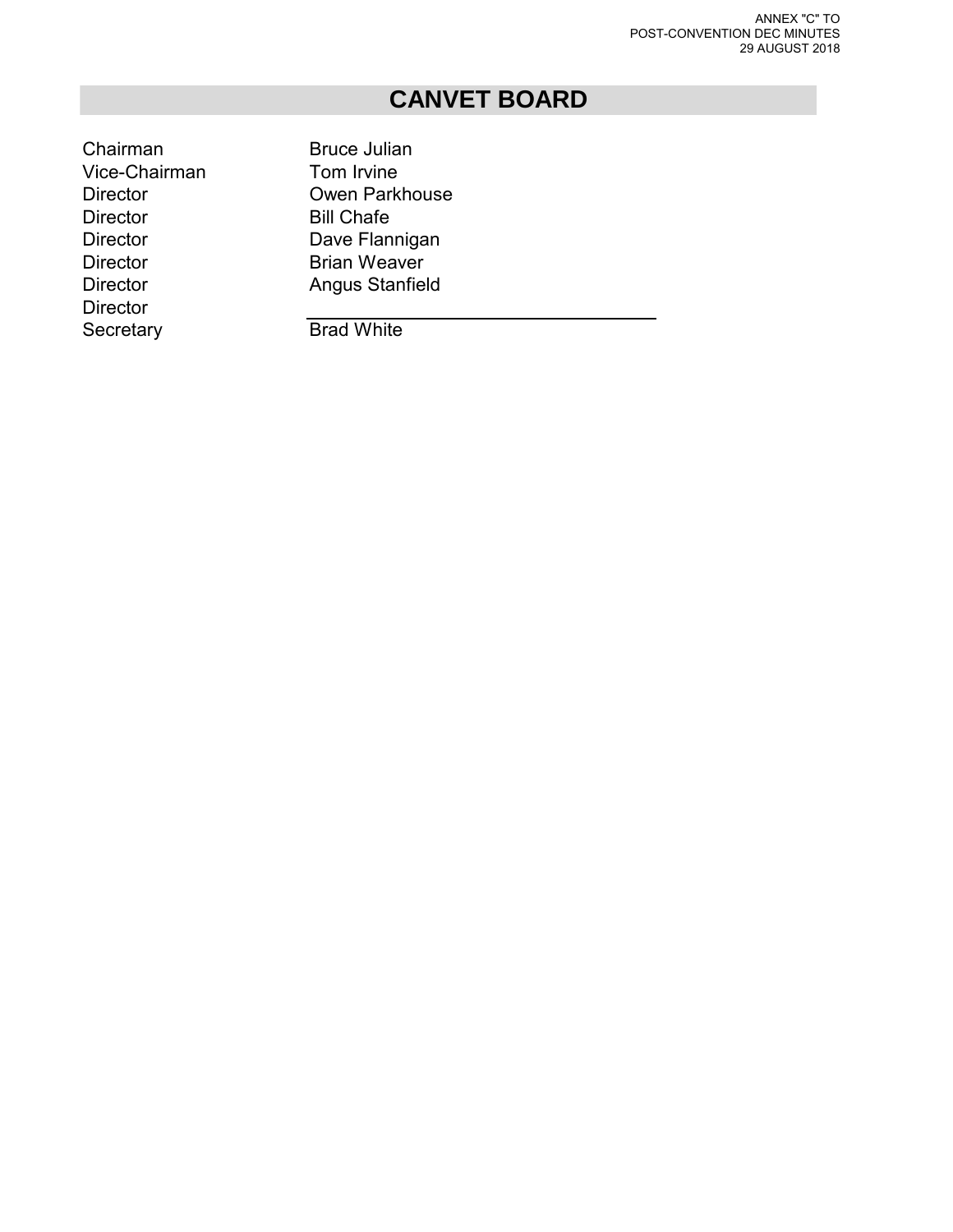## **CANVET BOARD**

Chairman Bruce Julian Vice-Chairman Tom Irvine Director **Bill Chafe** Director Dave Flannigan Director **Brian Weaver Director** Secretary **Brad White** 

Director Owen Parkhouse Director **Angus Stanfield**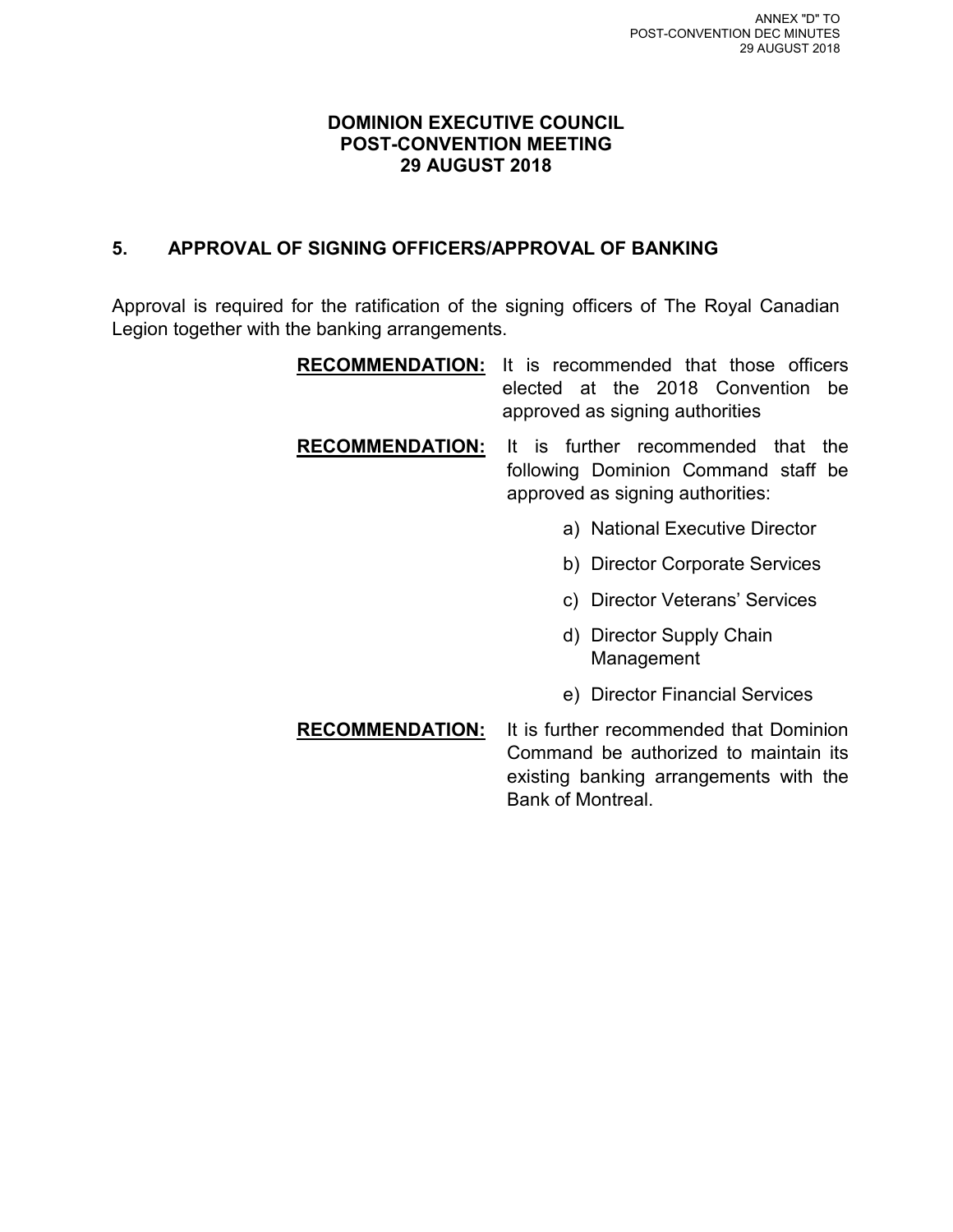#### **DOMINION EXECUTIVE COUNCIL POST-CONVENTION MEETING 29 AUGUST 2018**

#### **5. APPROVAL OF SIGNING OFFICERS/APPROVAL OF BANKING**

Approval is required for the ratification of the signing officers of The Royal Canadian Legion together with the banking arrangements.

| <b>RECOMMENDATION:</b> | It is recommended that those officers<br>elected at the 2018 Convention<br>he.<br>approved as signing authorities                               |  |  |
|------------------------|-------------------------------------------------------------------------------------------------------------------------------------------------|--|--|
| <b>RECOMMENDATION:</b> | It is further recommended that<br>the<br>following Dominion Command staff be<br>approved as signing authorities:                                |  |  |
|                        | a) National Executive Director                                                                                                                  |  |  |
|                        | b) Director Corporate Services                                                                                                                  |  |  |
|                        | c) Director Veterans' Services                                                                                                                  |  |  |
|                        | d) Director Supply Chain<br>Management                                                                                                          |  |  |
|                        | e) Director Financial Services                                                                                                                  |  |  |
| <b>RECOMMENDATION:</b> | It is further recommended that Dominion<br>Command be authorized to maintain its<br>existing banking arrangements with the<br>Bank of Montreal. |  |  |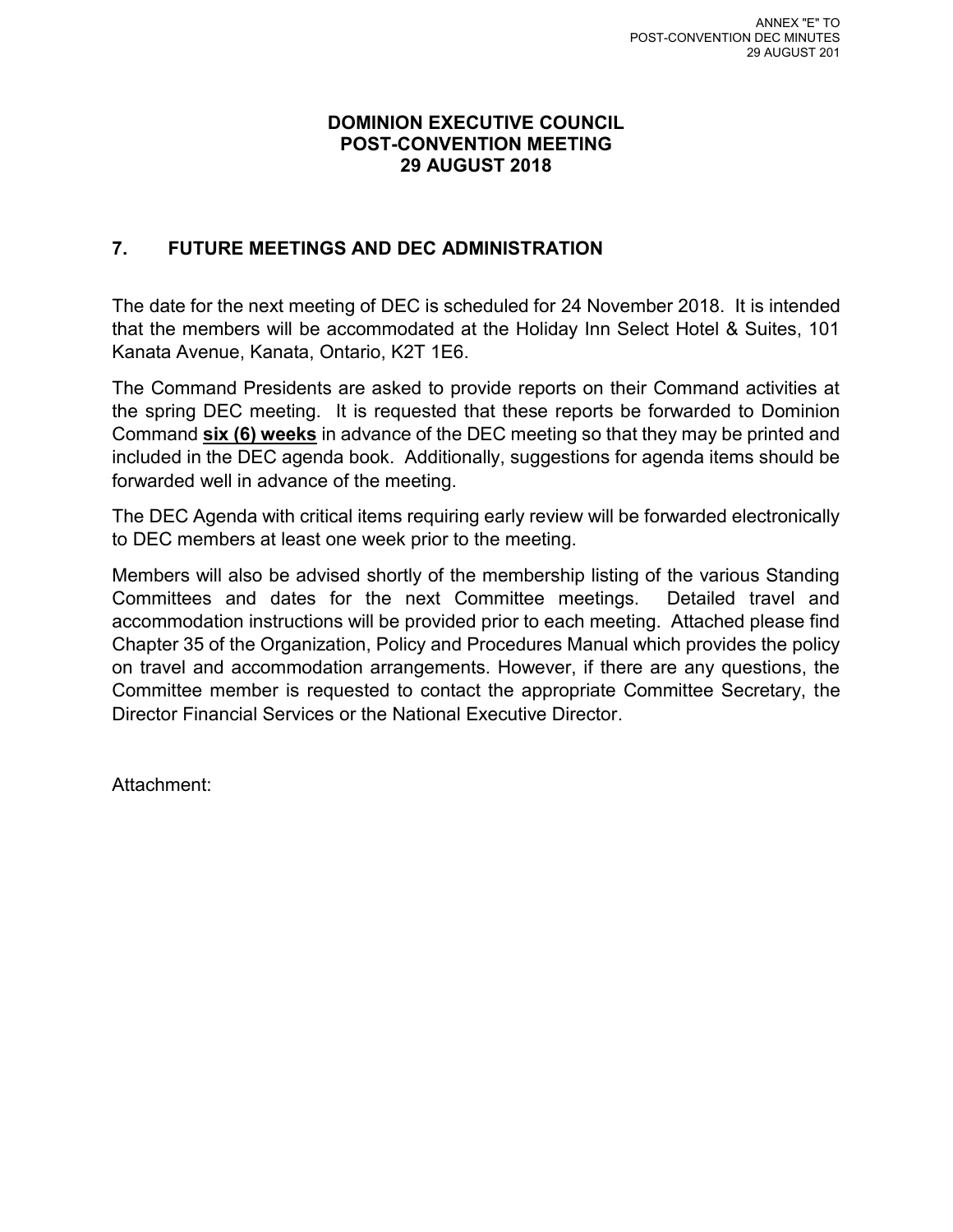#### **DOMINION EXECUTIVE COUNCIL POST-CONVENTION MEETING 29 AUGUST 2018**

#### **7. FUTURE MEETINGS AND DEC ADMINISTRATION**

The date for the next meeting of DEC is scheduled for 24 November 2018. It is intended that the members will be accommodated at the Holiday Inn Select Hotel & Suites, 101 Kanata Avenue, Kanata, Ontario, K2T 1E6.

The Command Presidents are asked to provide reports on their Command activities at the spring DEC meeting. It is requested that these reports be forwarded to Dominion Command **six (6) weeks** in advance of the DEC meeting so that they may be printed and included in the DEC agenda book. Additionally, suggestions for agenda items should be forwarded well in advance of the meeting.

The DEC Agenda with critical items requiring early review will be forwarded electronically to DEC members at least one week prior to the meeting.

Members will also be advised shortly of the membership listing of the various Standing Committees and dates for the next Committee meetings. Detailed travel and accommodation instructions will be provided prior to each meeting. Attached please find Chapter 35 of the Organization, Policy and Procedures Manual which provides the policy on travel and accommodation arrangements. However, if there are any questions, the Committee member is requested to contact the appropriate Committee Secretary, the Director Financial Services or the National Executive Director.

Attachment: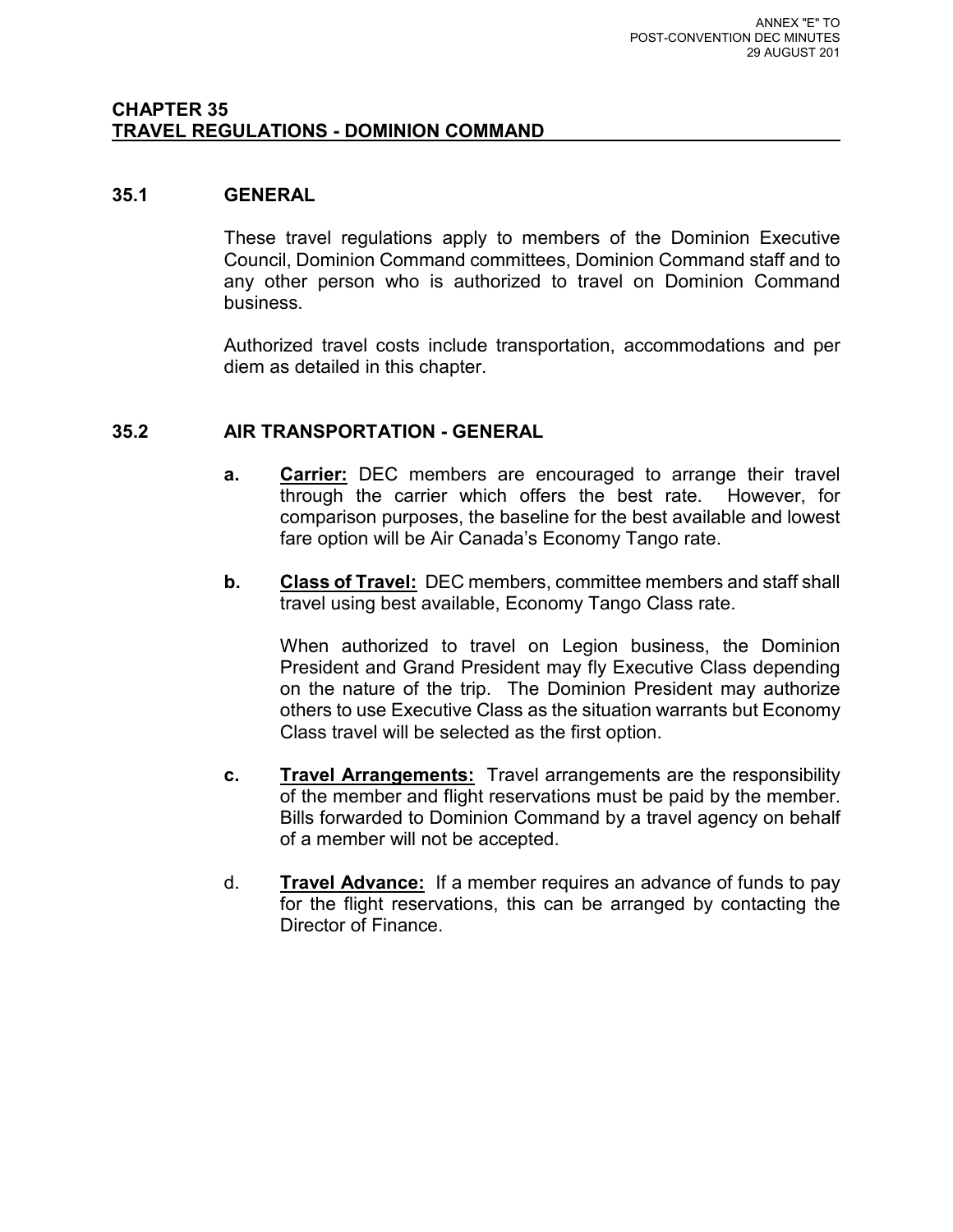#### **CHAPTER 35 TRAVEL REGULATIONS - DOMINION COMMAND**

#### **35.1 GENERAL**

These travel regulations apply to members of the Dominion Executive Council, Dominion Command committees, Dominion Command staff and to any other person who is authorized to travel on Dominion Command business.

Authorized travel costs include transportation, accommodations and per diem as detailed in this chapter.

#### **35.2 AIR TRANSPORTATION - GENERAL**

- **a. Carrier:** DEC members are encouraged to arrange their travel through the carrier which offers the best rate. However, for comparison purposes, the baseline for the best available and lowest fare option will be Air Canada's Economy Tango rate.
- **b. Class of Travel:** DEC members, committee members and staff shall travel using best available, Economy Tango Class rate.

When authorized to travel on Legion business, the Dominion President and Grand President may fly Executive Class depending on the nature of the trip. The Dominion President may authorize others to use Executive Class as the situation warrants but Economy Class travel will be selected as the first option.

- **c. Travel Arrangements:** Travel arrangements are the responsibility of the member and flight reservations must be paid by the member. Bills forwarded to Dominion Command by a travel agency on behalf of a member will not be accepted.
- d. **Travel Advance:** If a member requires an advance of funds to pay for the flight reservations, this can be arranged by contacting the Director of Finance.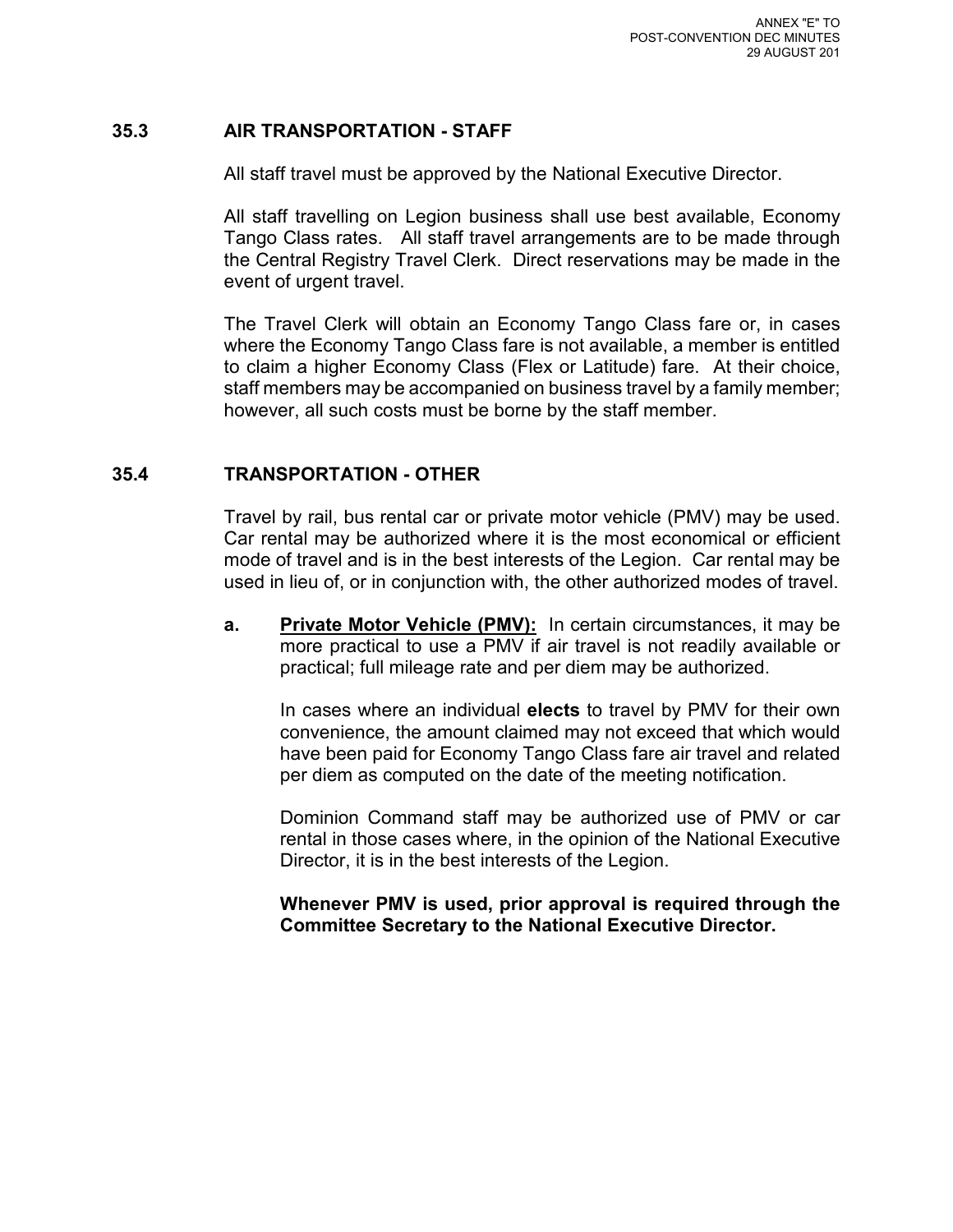#### **35.3 AIR TRANSPORTATION - STAFF**

All staff travel must be approved by the National Executive Director.

All staff travelling on Legion business shall use best available, Economy Tango Class rates. All staff travel arrangements are to be made through the Central Registry Travel Clerk. Direct reservations may be made in the event of urgent travel.

The Travel Clerk will obtain an Economy Tango Class fare or, in cases where the Economy Tango Class fare is not available, a member is entitled to claim a higher Economy Class (Flex or Latitude) fare. At their choice, staff members may be accompanied on business travel by a family member; however, all such costs must be borne by the staff member.

#### **35.4 TRANSPORTATION - OTHER**

Travel by rail, bus rental car or private motor vehicle (PMV) may be used. Car rental may be authorized where it is the most economical or efficient mode of travel and is in the best interests of the Legion. Car rental may be used in lieu of, or in conjunction with, the other authorized modes of travel.

**a. Private Motor Vehicle (PMV):** In certain circumstances, it may be more practical to use a PMV if air travel is not readily available or practical; full mileage rate and per diem may be authorized.

In cases where an individual **elects** to travel by PMV for their own convenience, the amount claimed may not exceed that which would have been paid for Economy Tango Class fare air travel and related per diem as computed on the date of the meeting notification.

Dominion Command staff may be authorized use of PMV or car rental in those cases where, in the opinion of the National Executive Director, it is in the best interests of the Legion.

**Whenever PMV is used, prior approval is required through the Committee Secretary to the National Executive Director.**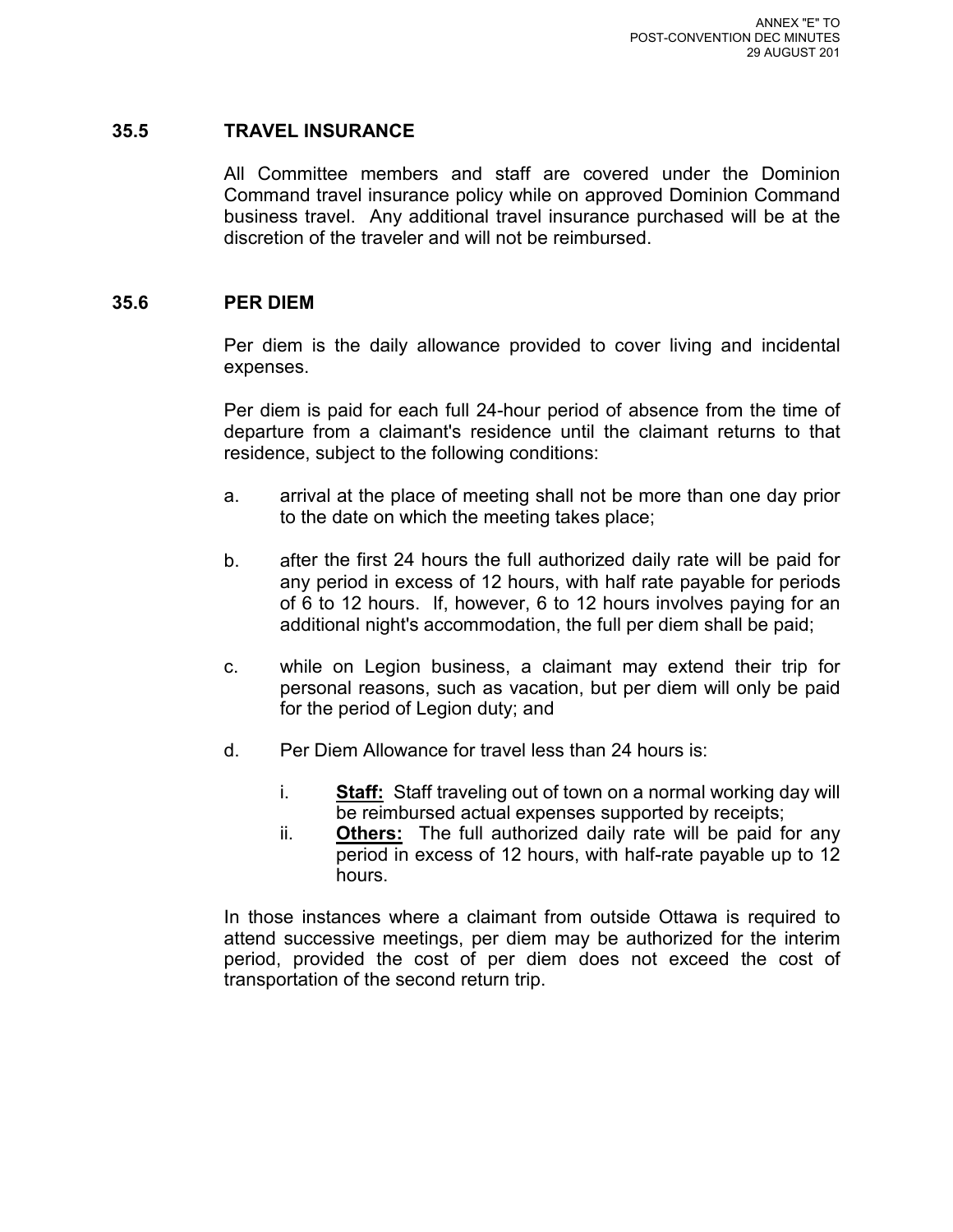#### **35.5 TRAVEL INSURANCE**

All Committee members and staff are covered under the Dominion Command travel insurance policy while on approved Dominion Command business travel. Any additional travel insurance purchased will be at the discretion of the traveler and will not be reimbursed.

#### **35.6 PER DIEM**

Per diem is the daily allowance provided to cover living and incidental expenses.

Per diem is paid for each full 24-hour period of absence from the time of departure from a claimant's residence until the claimant returns to that residence, subject to the following conditions:

- a. arrival at the place of meeting shall not be more than one day prior to the date on which the meeting takes place;
- b. after the first 24 hours the full authorized daily rate will be paid for any period in excess of 12 hours, with half rate payable for periods of 6 to 12 hours. If, however, 6 to 12 hours involves paying for an additional night's accommodation, the full per diem shall be paid;
- c. while on Legion business, a claimant may extend their trip for personal reasons, such as vacation, but per diem will only be paid for the period of Legion duty; and
- d. Per Diem Allowance for travel less than 24 hours is:
	- i. **Staff:** Staff traveling out of town on a normal working day will be reimbursed actual expenses supported by receipts;
	- ii. **Others:** The full authorized daily rate will be paid for any period in excess of 12 hours, with half-rate payable up to 12 hours.

In those instances where a claimant from outside Ottawa is required to attend successive meetings, per diem may be authorized for the interim period, provided the cost of per diem does not exceed the cost of transportation of the second return trip.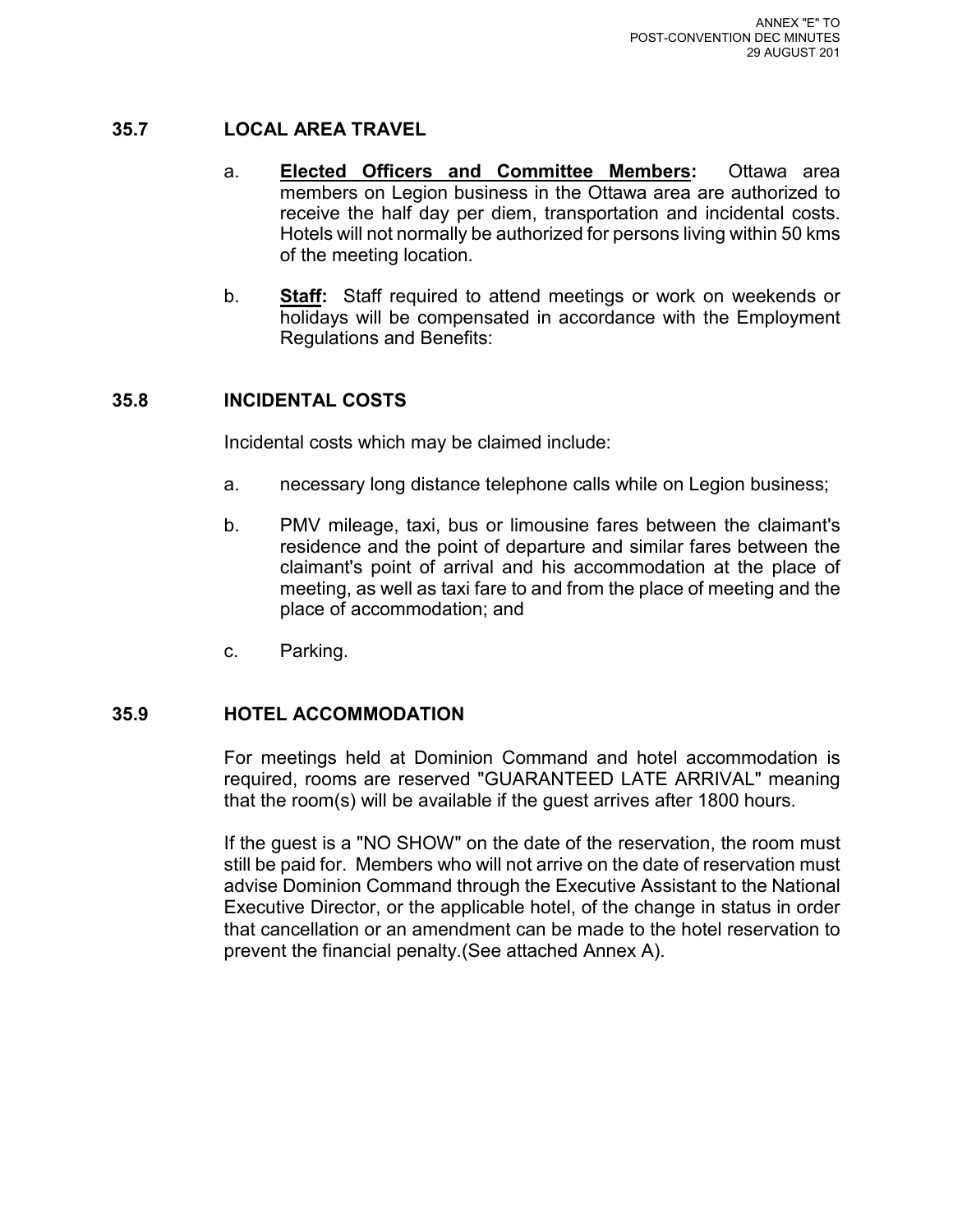#### **35.7 LOCAL AREA TRAVEL**

- a. **Elected Officers and Committee Members:** Ottawa area members on Legion business in the Ottawa area are authorized to receive the half day per diem, transportation and incidental costs. Hotels will not normally be authorized for persons living within 50 kms of the meeting location.
- b. **Staff:** Staff required to attend meetings or work on weekends or holidays will be compensated in accordance with the Employment Regulations and Benefits:

#### **35.8 INCIDENTAL COSTS**

Incidental costs which may be claimed include:

- a. necessary long distance telephone calls while on Legion business;
- b. PMV mileage, taxi, bus or limousine fares between the claimant's residence and the point of departure and similar fares between the claimant's point of arrival and his accommodation at the place of meeting, as well as taxi fare to and from the place of meeting and the place of accommodation; and
- c. Parking.

#### **35.9 HOTEL ACCOMMODATION**

For meetings held at Dominion Command and hotel accommodation is required, rooms are reserved "GUARANTEED LATE ARRIVAL" meaning that the room(s) will be available if the guest arrives after 1800 hours.

If the guest is a "NO SHOW" on the date of the reservation, the room must still be paid for. Members who will not arrive on the date of reservation must advise Dominion Command through the Executive Assistant to the National Executive Director, or the applicable hotel, of the change in status in order that cancellation or an amendment can be made to the hotel reservation to prevent the financial penalty.(See attached Annex A).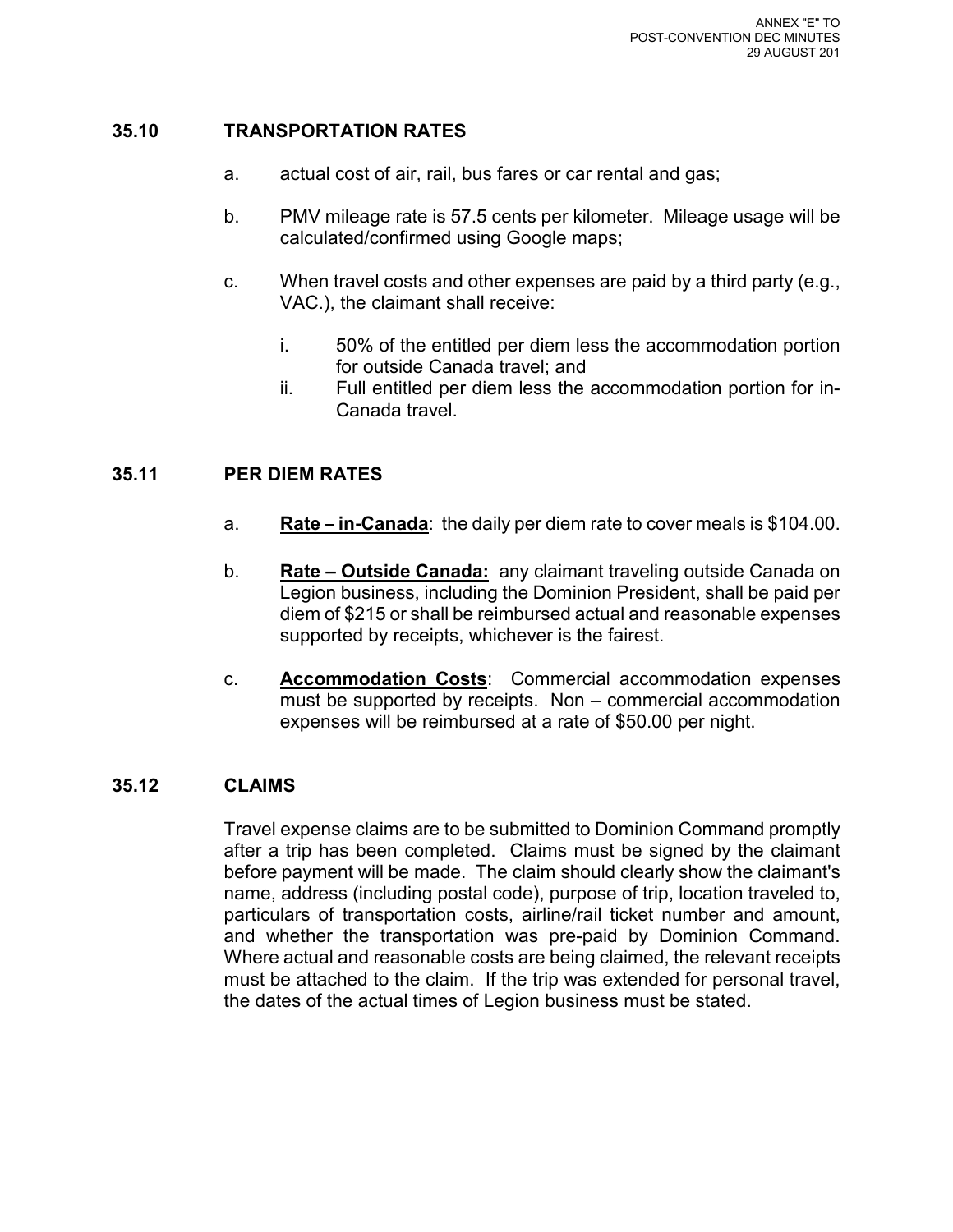#### **35.10 TRANSPORTATION RATES**

- a. actual cost of air, rail, bus fares or car rental and gas;
- b. PMV mileage rate is 57.5 cents per kilometer. Mileage usage will be calculated/confirmed using Google maps;
- c. When travel costs and other expenses are paid by a third party (e.g., VAC.), the claimant shall receive:
	- i. 50% of the entitled per diem less the accommodation portion for outside Canada travel; and
	- ii. Full entitled per diem less the accommodation portion for in-Canada travel.

#### **35.11 PER DIEM RATES**

- a. **Rate in-Canada**: the daily per diem rate to cover meals is \$104.00.
- b. **Rate Outside Canada:** any claimant traveling outside Canada on Legion business, including the Dominion President, shall be paid per diem of \$215 or shall be reimbursed actual and reasonable expenses supported by receipts, whichever is the fairest.
- c. **Accommodation Costs**: Commercial accommodation expenses must be supported by receipts. Non – commercial accommodation expenses will be reimbursed at a rate of \$50.00 per night.

#### **35.12 CLAIMS**

Travel expense claims are to be submitted to Dominion Command promptly after a trip has been completed. Claims must be signed by the claimant before payment will be made. The claim should clearly show the claimant's name, address (including postal code), purpose of trip, location traveled to, particulars of transportation costs, airline/rail ticket number and amount, and whether the transportation was pre-paid by Dominion Command. Where actual and reasonable costs are being claimed, the relevant receipts must be attached to the claim. If the trip was extended for personal travel, the dates of the actual times of Legion business must be stated.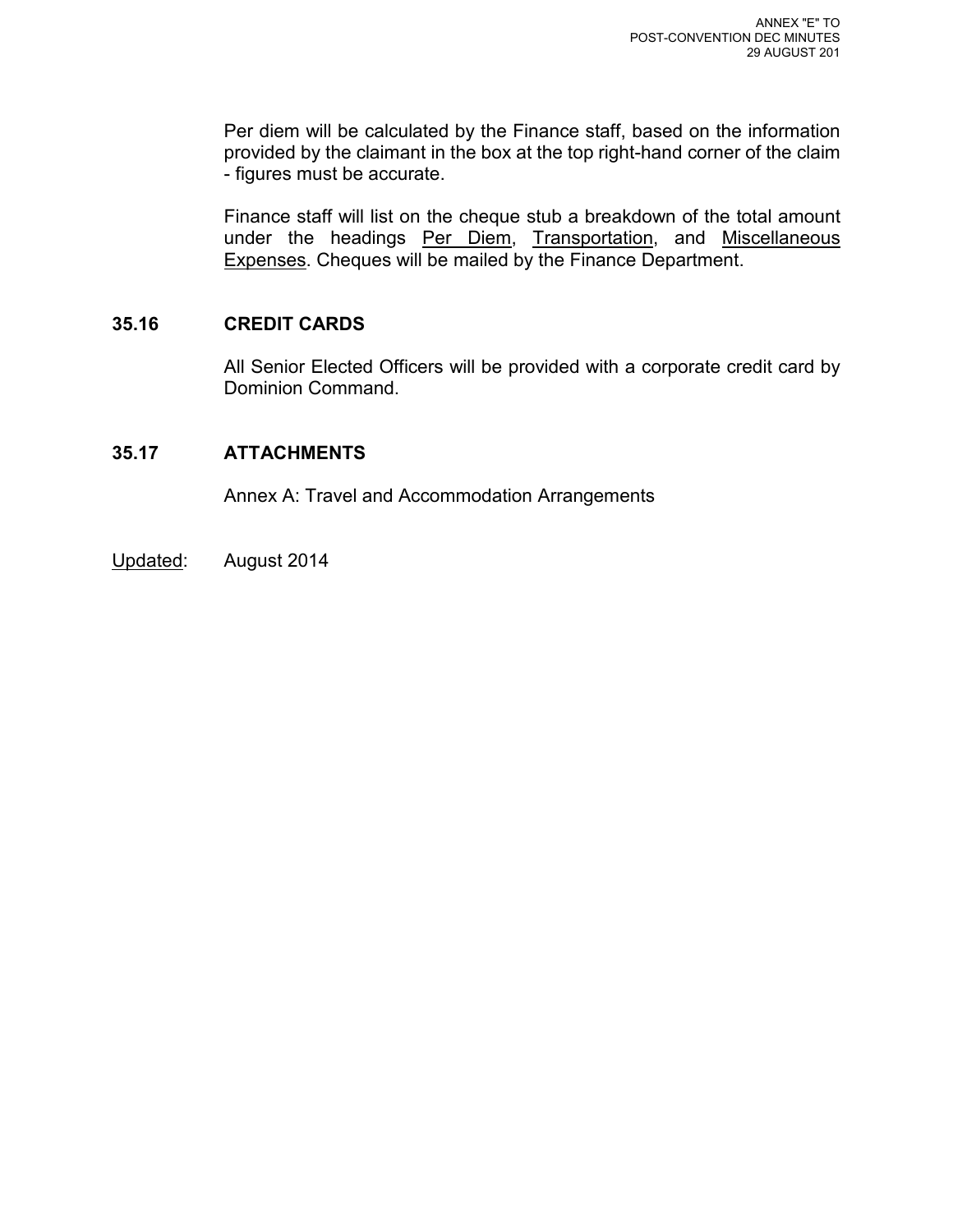Per diem will be calculated by the Finance staff, based on the information provided by the claimant in the box at the top right-hand corner of the claim - figures must be accurate.

Finance staff will list on the cheque stub a breakdown of the total amount under the headings Per Diem, Transportation, and Miscellaneous Expenses. Cheques will be mailed by the Finance Department.

#### **35.16 CREDIT CARDS**

All Senior Elected Officers will be provided with a corporate credit card by Dominion Command.

#### **35.17 ATTACHMENTS**

Annex A: Travel and Accommodation Arrangements

Updated: August 2014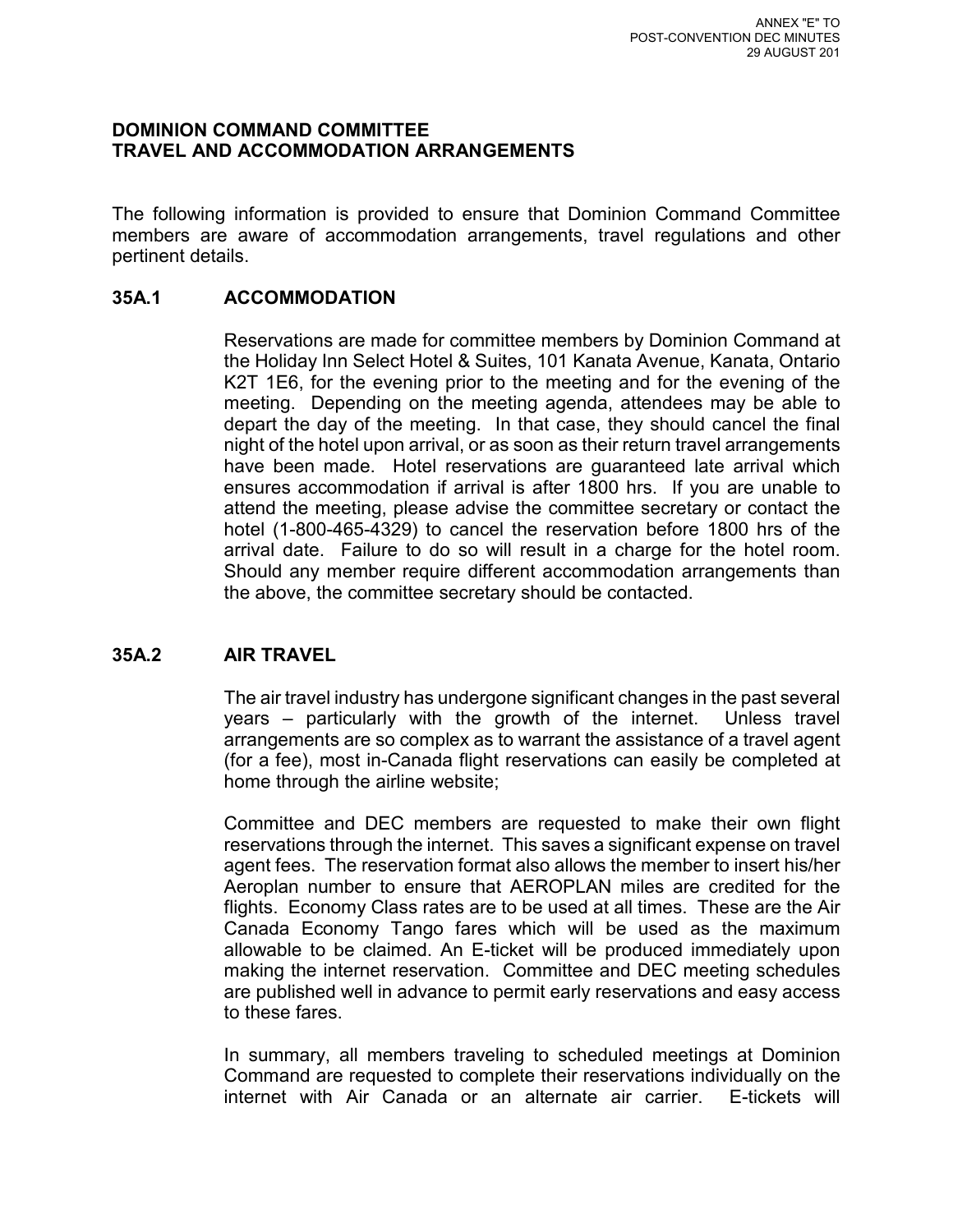#### **DOMINION COMMAND COMMITTEE TRAVEL AND ACCOMMODATION ARRANGEMENTS**

The following information is provided to ensure that Dominion Command Committee members are aware of accommodation arrangements, travel regulations and other pertinent details.

#### **35A.1 ACCOMMODATION**

Reservations are made for committee members by Dominion Command at the Holiday Inn Select Hotel & Suites, 101 Kanata Avenue, Kanata, Ontario K2T 1E6, for the evening prior to the meeting and for the evening of the meeting. Depending on the meeting agenda, attendees may be able to depart the day of the meeting. In that case, they should cancel the final night of the hotel upon arrival, or as soon as their return travel arrangements have been made. Hotel reservations are guaranteed late arrival which ensures accommodation if arrival is after 1800 hrs. If you are unable to attend the meeting, please advise the committee secretary or contact the hotel (1-800-465-4329) to cancel the reservation before 1800 hrs of the arrival date. Failure to do so will result in a charge for the hotel room. Should any member require different accommodation arrangements than the above, the committee secretary should be contacted.

#### **35A.2 AIR TRAVEL**

The air travel industry has undergone significant changes in the past several years – particularly with the growth of the internet. Unless travel arrangements are so complex as to warrant the assistance of a travel agent (for a fee), most in-Canada flight reservations can easily be completed at home through the airline website;

Committee and DEC members are requested to make their own flight reservations through the internet. This saves a significant expense on travel agent fees. The reservation format also allows the member to insert his/her Aeroplan number to ensure that AEROPLAN miles are credited for the flights. Economy Class rates are to be used at all times. These are the Air Canada Economy Tango fares which will be used as the maximum allowable to be claimed. An E-ticket will be produced immediately upon making the internet reservation. Committee and DEC meeting schedules are published well in advance to permit early reservations and easy access to these fares.

In summary, all members traveling to scheduled meetings at Dominion Command are requested to complete their reservations individually on the internet with Air Canada or an alternate air carrier. E-tickets will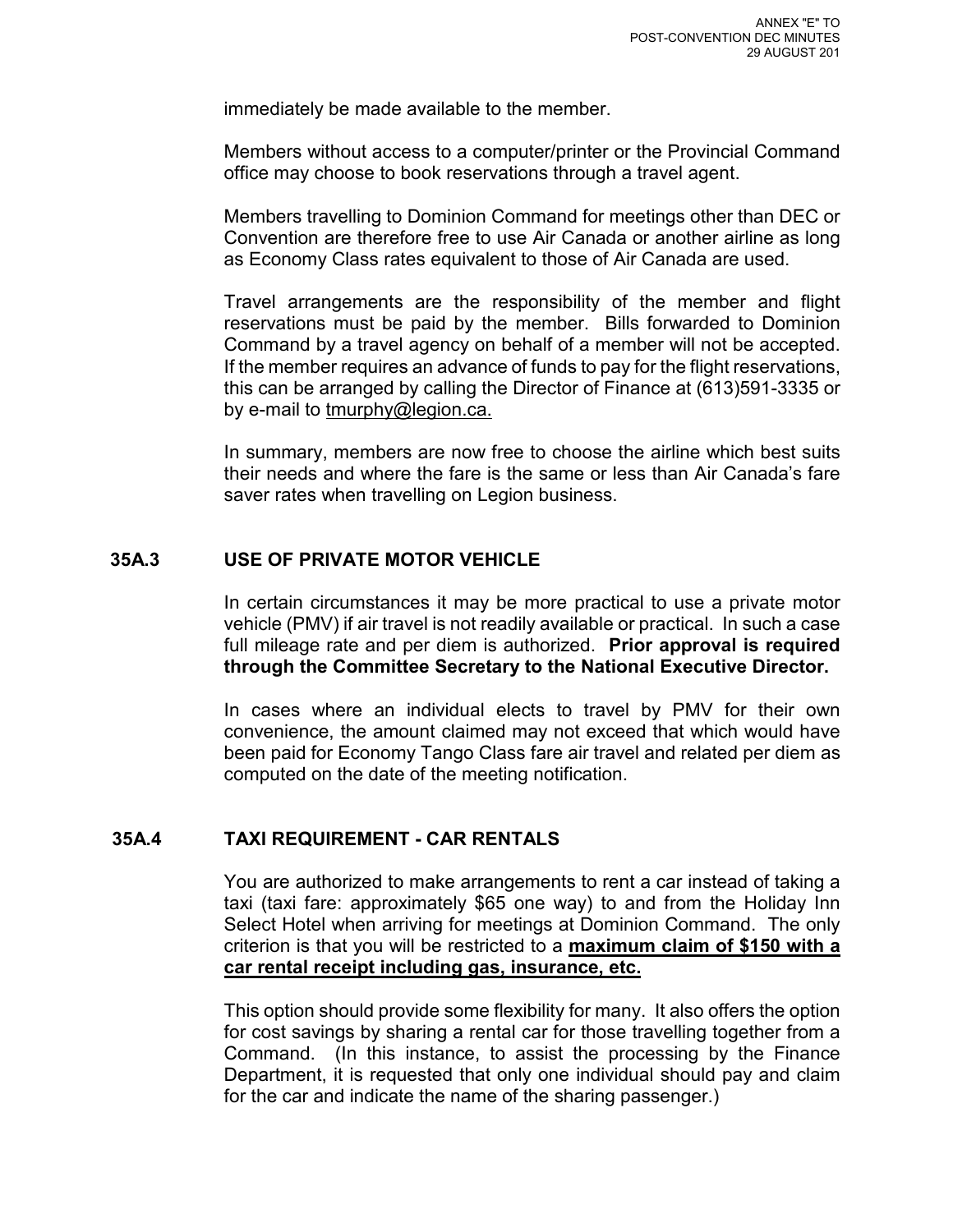immediately be made available to the member.

Members without access to a computer/printer or the Provincial Command office may choose to book reservations through a travel agent.

Members travelling to Dominion Command for meetings other than DEC or Convention are therefore free to use Air Canada or another airline as long as Economy Class rates equivalent to those of Air Canada are used.

Travel arrangements are the responsibility of the member and flight reservations must be paid by the member. Bills forwarded to Dominion Command by a travel agency on behalf of a member will not be accepted. If the member requires an advance of funds to pay for the flight reservations, this can be arranged by calling the Director of Finance at (613)591-3335 or by e-mail to tmurphy@legion.ca.

In summary, members are now free to choose the airline which best suits their needs and where the fare is the same or less than Air Canada's fare saver rates when travelling on Legion business.

#### **35A.3 USE OF PRIVATE MOTOR VEHICLE**

In certain circumstances it may be more practical to use a private motor vehicle (PMV) if air travel is not readily available or practical. In such a case full mileage rate and per diem is authorized. **Prior approval is required through the Committee Secretary to the National Executive Director.**

In cases where an individual elects to travel by PMV for their own convenience, the amount claimed may not exceed that which would have been paid for Economy Tango Class fare air travel and related per diem as computed on the date of the meeting notification.

#### **35A.4 TAXI REQUIREMENT - CAR RENTALS**

You are authorized to make arrangements to rent a car instead of taking a taxi (taxi fare: approximately \$65 one way) to and from the Holiday Inn Select Hotel when arriving for meetings at Dominion Command. The only criterion is that you will be restricted to a **maximum claim of \$150 with a car rental receipt including gas, insurance, etc.**

This option should provide some flexibility for many. It also offers the option for cost savings by sharing a rental car for those travelling together from a Command. (In this instance, to assist the processing by the Finance Department, it is requested that only one individual should pay and claim for the car and indicate the name of the sharing passenger.)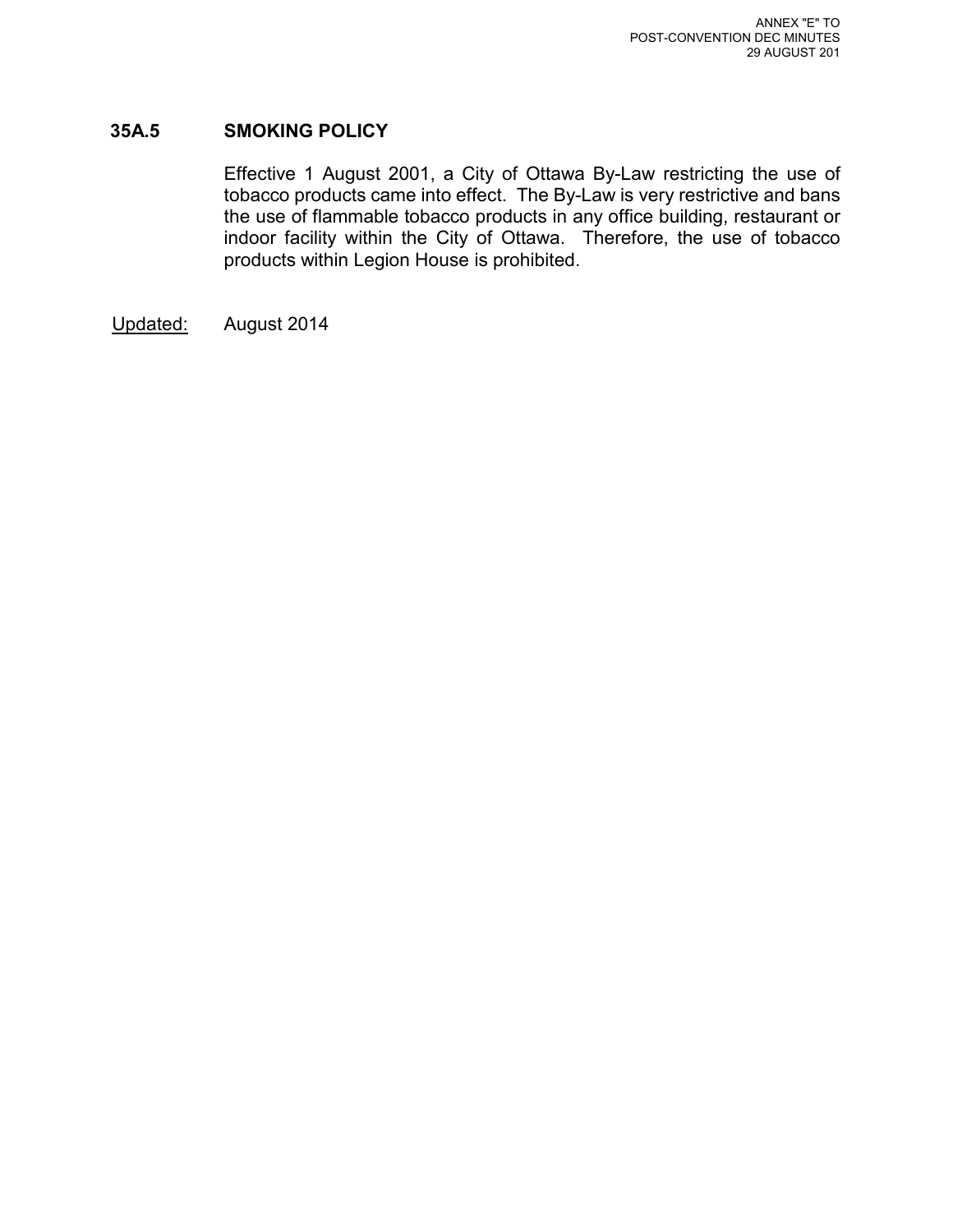#### **35A.5 SMOKING POLICY**

Effective 1 August 2001, a City of Ottawa By-Law restricting the use of tobacco products came into effect. The By-Law is very restrictive and bans the use of flammable tobacco products in any office building, restaurant or indoor facility within the City of Ottawa. Therefore, the use of tobacco products within Legion House is prohibited.

Updated: August 2014